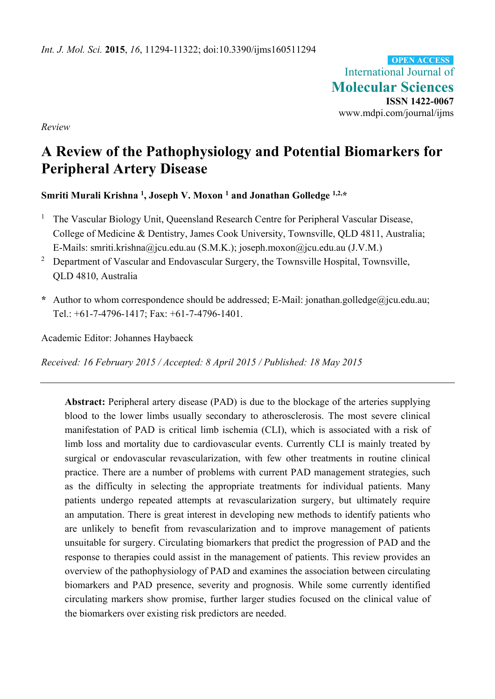International Journal of **Molecular Sciences ISSN 1422-0067**  www.mdpi.com/journal/ijms **OPEN ACCESS**

*Review* 

# **A Review of the Pathophysiology and Potential Biomarkers for Peripheral Artery Disease**

**Smriti Murali Krishna 1, Joseph V. Moxon 1 and Jonathan Golledge 1,2,\*** 

- 1 The Vascular Biology Unit, Queensland Research Centre for Peripheral Vascular Disease, College of Medicine & Dentistry, James Cook University, Townsville, QLD 4811, Australia; E-Mails: smriti.krishna@jcu.edu.au (S.M.K.); joseph.moxon@jcu.edu.au (J.V.M.)
- 2 Department of Vascular and Endovascular Surgery, the Townsville Hospital, Townsville, QLD 4810, Australia
- **\*** Author to whom correspondence should be addressed; E-Mail: jonathan.golledge@jcu.edu.au; Tel.: +61-7-4796-1417; Fax: +61-7-4796-1401.

Academic Editor: Johannes Haybaeck

*Received: 16 February 2015 / Accepted: 8 April 2015 / Published: 18 May 2015* 

**Abstract:** Peripheral artery disease (PAD) is due to the blockage of the arteries supplying blood to the lower limbs usually secondary to atherosclerosis. The most severe clinical manifestation of PAD is critical limb ischemia (CLI), which is associated with a risk of limb loss and mortality due to cardiovascular events. Currently CLI is mainly treated by surgical or endovascular revascularization, with few other treatments in routine clinical practice. There are a number of problems with current PAD management strategies, such as the difficulty in selecting the appropriate treatments for individual patients. Many patients undergo repeated attempts at revascularization surgery, but ultimately require an amputation. There is great interest in developing new methods to identify patients who are unlikely to benefit from revascularization and to improve management of patients unsuitable for surgery. Circulating biomarkers that predict the progression of PAD and the response to therapies could assist in the management of patients. This review provides an overview of the pathophysiology of PAD and examines the association between circulating biomarkers and PAD presence, severity and prognosis. While some currently identified circulating markers show promise, further larger studies focused on the clinical value of the biomarkers over existing risk predictors are needed.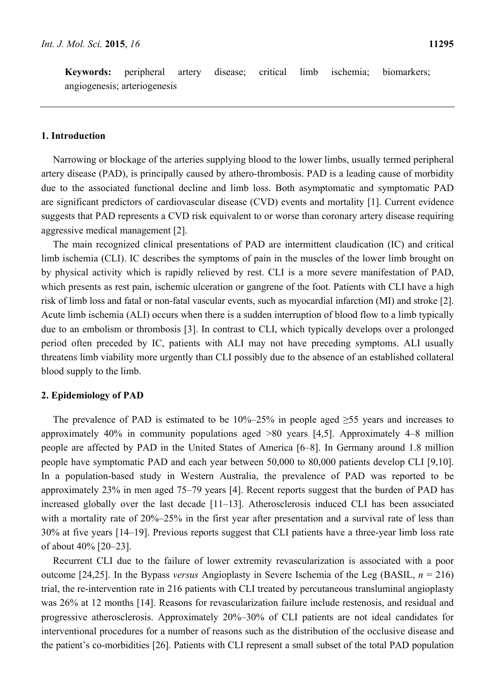**Keywords:** peripheral artery disease; critical limb ischemia; biomarkers; angiogenesis; arteriogenesis

#### **1. Introduction**

Narrowing or blockage of the arteries supplying blood to the lower limbs, usually termed peripheral artery disease (PAD), is principally caused by athero-thrombosis. PAD is a leading cause of morbidity due to the associated functional decline and limb loss. Both asymptomatic and symptomatic PAD are significant predictors of cardiovascular disease (CVD) events and mortality [1]. Current evidence suggests that PAD represents a CVD risk equivalent to or worse than coronary artery disease requiring aggressive medical management [2].

The main recognized clinical presentations of PAD are intermittent claudication (IC) and critical limb ischemia (CLI). IC describes the symptoms of pain in the muscles of the lower limb brought on by physical activity which is rapidly relieved by rest. CLI is a more severe manifestation of PAD, which presents as rest pain, ischemic ulceration or gangrene of the foot. Patients with CLI have a high risk of limb loss and fatal or non-fatal vascular events, such as myocardial infarction (MI) and stroke [2]. Acute limb ischemia (ALI) occurs when there is a sudden interruption of blood flow to a limb typically due to an embolism or thrombosis [3]. In contrast to CLI, which typically develops over a prolonged period often preceded by IC, patients with ALI may not have preceding symptoms. ALI usually threatens limb viability more urgently than CLI possibly due to the absence of an established collateral blood supply to the limb.

#### **2. Epidemiology of PAD**

The prevalence of PAD is estimated to be  $10\% - 25\%$  in people aged  $\geq 55$  years and increases to approximately 40% in community populations aged >80 years [4,5]. Approximately 4–8 million people are affected by PAD in the United States of America [6–8]. In Germany around 1.8 million people have symptomatic PAD and each year between 50,000 to 80,000 patients develop CLI [9,10]. In a population-based study in Western Australia, the prevalence of PAD was reported to be approximately 23% in men aged 75–79 years [4]. Recent reports suggest that the burden of PAD has increased globally over the last decade [11–13]. Atherosclerosis induced CLI has been associated with a mortality rate of 20%–25% in the first year after presentation and a survival rate of less than 30% at five years [14–19]. Previous reports suggest that CLI patients have a three-year limb loss rate of about 40% [20–23].

Recurrent CLI due to the failure of lower extremity revascularization is associated with a poor outcome [24,25]. In the Bypass *versus* Angioplasty in Severe Ischemia of the Leg (BASIL, *n* = 216) trial, the re-intervention rate in 216 patients with CLI treated by percutaneous transluminal angioplasty was 26% at 12 months [14]. Reasons for revascularization failure include restenosis, and residual and progressive atherosclerosis. Approximately 20%–30% of CLI patients are not ideal candidates for interventional procedures for a number of reasons such as the distribution of the occlusive disease and the patient's co-morbidities [26]. Patients with CLI represent a small subset of the total PAD population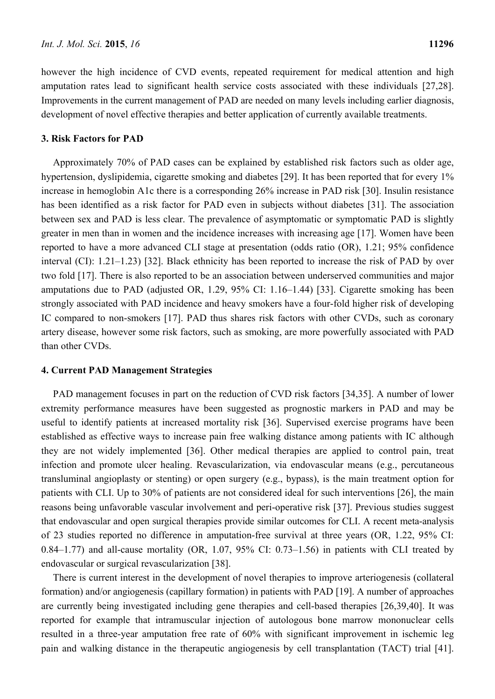however the high incidence of CVD events, repeated requirement for medical attention and high amputation rates lead to significant health service costs associated with these individuals [27,28]. Improvements in the current management of PAD are needed on many levels including earlier diagnosis, development of novel effective therapies and better application of currently available treatments.

#### **3. Risk Factors for PAD**

Approximately 70% of PAD cases can be explained by established risk factors such as older age, hypertension, dyslipidemia, cigarette smoking and diabetes [29]. It has been reported that for every 1% increase in hemoglobin A1c there is a corresponding 26% increase in PAD risk [30]. Insulin resistance has been identified as a risk factor for PAD even in subjects without diabetes [31]. The association between sex and PAD is less clear. The prevalence of asymptomatic or symptomatic PAD is slightly greater in men than in women and the incidence increases with increasing age [17]. Women have been reported to have a more advanced CLI stage at presentation (odds ratio (OR), 1.21; 95% confidence interval (CI): 1.21–1.23) [32]. Black ethnicity has been reported to increase the risk of PAD by over two fold [17]. There is also reported to be an association between underserved communities and major amputations due to PAD (adjusted OR, 1.29, 95% CI: 1.16–1.44) [33]. Cigarette smoking has been strongly associated with PAD incidence and heavy smokers have a four-fold higher risk of developing IC compared to non-smokers [17]. PAD thus shares risk factors with other CVDs, such as coronary artery disease, however some risk factors, such as smoking, are more powerfully associated with PAD than other CVDs.

#### **4. Current PAD Management Strategies**

PAD management focuses in part on the reduction of CVD risk factors [34,35]. A number of lower extremity performance measures have been suggested as prognostic markers in PAD and may be useful to identify patients at increased mortality risk [36]. Supervised exercise programs have been established as effective ways to increase pain free walking distance among patients with IC although they are not widely implemented [36]. Other medical therapies are applied to control pain, treat infection and promote ulcer healing. Revascularization, via endovascular means (e.g., percutaneous transluminal angioplasty or stenting) or open surgery (e.g., bypass), is the main treatment option for patients with CLI. Up to 30% of patients are not considered ideal for such interventions [26], the main reasons being unfavorable vascular involvement and peri-operative risk [37]. Previous studies suggest that endovascular and open surgical therapies provide similar outcomes for CLI. A recent meta-analysis of 23 studies reported no difference in amputation-free survival at three years (OR, 1.22, 95% CI: 0.84–1.77) and all-cause mortality (OR, 1.07, 95% CI: 0.73–1.56) in patients with CLI treated by endovascular or surgical revascularization [38].

There is current interest in the development of novel therapies to improve arteriogenesis (collateral formation) and/or angiogenesis (capillary formation) in patients with PAD [19]. A number of approaches are currently being investigated including gene therapies and cell-based therapies [26,39,40]. It was reported for example that intramuscular injection of autologous bone marrow mononuclear cells resulted in a three-year amputation free rate of 60% with significant improvement in ischemic leg pain and walking distance in the therapeutic angiogenesis by cell transplantation (TACT) trial [41].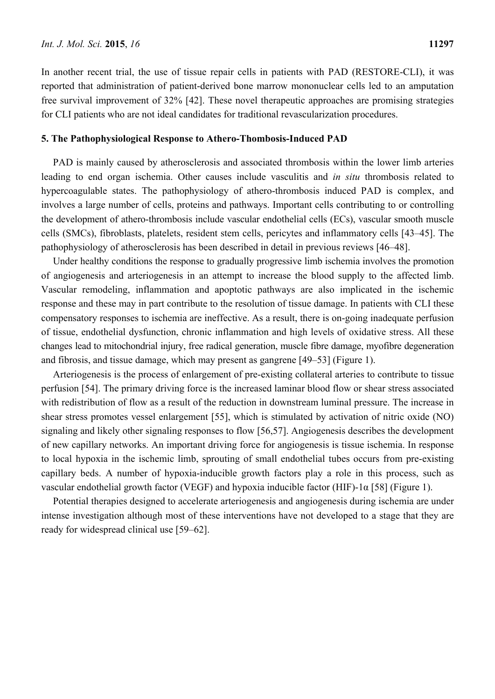In another recent trial, the use of tissue repair cells in patients with PAD (RESTORE-CLI), it was reported that administration of patient-derived bone marrow mononuclear cells led to an amputation free survival improvement of 32% [42]. These novel therapeutic approaches are promising strategies for CLI patients who are not ideal candidates for traditional revascularization procedures.

#### **5. The Pathophysiological Response to Athero-Thombosis-Induced PAD**

PAD is mainly caused by atherosclerosis and associated thrombosis within the lower limb arteries leading to end organ ischemia. Other causes include vasculitis and *in situ* thrombosis related to hypercoagulable states. The pathophysiology of athero-thrombosis induced PAD is complex, and involves a large number of cells, proteins and pathways. Important cells contributing to or controlling the development of athero-thrombosis include vascular endothelial cells (ECs), vascular smooth muscle cells (SMCs), fibroblasts, platelets, resident stem cells, pericytes and inflammatory cells [43–45]. The pathophysiology of atherosclerosis has been described in detail in previous reviews [46–48].

Under healthy conditions the response to gradually progressive limb ischemia involves the promotion of angiogenesis and arteriogenesis in an attempt to increase the blood supply to the affected limb. Vascular remodeling, inflammation and apoptotic pathways are also implicated in the ischemic response and these may in part contribute to the resolution of tissue damage. In patients with CLI these compensatory responses to ischemia are ineffective. As a result, there is on-going inadequate perfusion of tissue, endothelial dysfunction, chronic inflammation and high levels of oxidative stress. All these changes lead to mitochondrial injury, free radical generation, muscle fibre damage, myofibre degeneration and fibrosis, and tissue damage, which may present as gangrene [49–53] (Figure 1).

Arteriogenesis is the process of enlargement of pre-existing collateral arteries to contribute to tissue perfusion [54]. The primary driving force is the increased laminar blood flow or shear stress associated with redistribution of flow as a result of the reduction in downstream luminal pressure. The increase in shear stress promotes vessel enlargement [55], which is stimulated by activation of nitric oxide (NO) signaling and likely other signaling responses to flow [56,57]. Angiogenesis describes the development of new capillary networks. An important driving force for angiogenesis is tissue ischemia. In response to local hypoxia in the ischemic limb, sprouting of small endothelial tubes occurs from pre-existing capillary beds. A number of hypoxia-inducible growth factors play a role in this process, such as vascular endothelial growth factor (VEGF) and hypoxia inducible factor (HIF)-1α [58] (Figure 1).

Potential therapies designed to accelerate arteriogenesis and angiogenesis during ischemia are under intense investigation although most of these interventions have not developed to a stage that they are ready for widespread clinical use [59–62].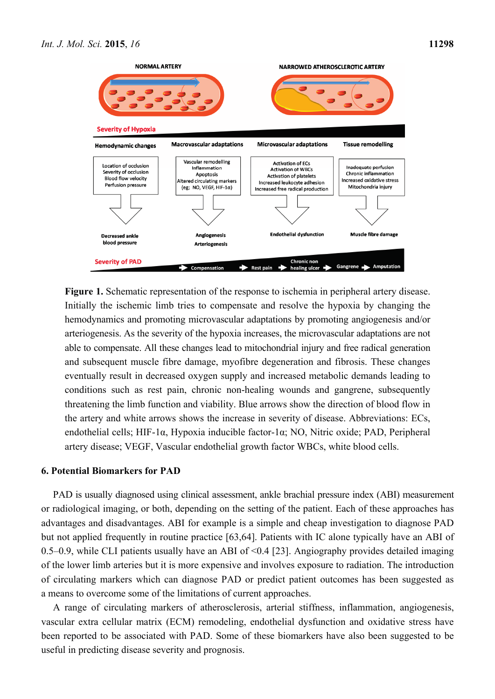

**Figure 1.** Schematic representation of the response to ischemia in peripheral artery disease. Initially the ischemic limb tries to compensate and resolve the hypoxia by changing the hemodynamics and promoting microvascular adaptations by promoting angiogenesis and/or arteriogenesis. As the severity of the hypoxia increases, the microvascular adaptations are not able to compensate. All these changes lead to mitochondrial injury and free radical generation and subsequent muscle fibre damage, myofibre degeneration and fibrosis. These changes eventually result in decreased oxygen supply and increased metabolic demands leading to conditions such as rest pain, chronic non-healing wounds and gangrene, subsequently threatening the limb function and viability. Blue arrows show the direction of blood flow in the artery and white arrows shows the increase in severity of disease. Abbreviations: ECs, endothelial cells; HIF-1α, Hypoxia inducible factor-1α; NO, Nitric oxide; PAD, Peripheral artery disease; VEGF, Vascular endothelial growth factor WBCs, white blood cells.

#### **6. Potential Biomarkers for PAD**

PAD is usually diagnosed using clinical assessment, ankle brachial pressure index (ABI) measurement or radiological imaging, or both, depending on the setting of the patient. Each of these approaches has advantages and disadvantages. ABI for example is a simple and cheap investigation to diagnose PAD but not applied frequently in routine practice [63,64]. Patients with IC alone typically have an ABI of 0.5–0.9, while CLI patients usually have an ABI of  $\leq$  0.4 [23]. Angiography provides detailed imaging of the lower limb arteries but it is more expensive and involves exposure to radiation. The introduction of circulating markers which can diagnose PAD or predict patient outcomes has been suggested as a means to overcome some of the limitations of current approaches.

A range of circulating markers of atherosclerosis, arterial stiffness, inflammation, angiogenesis, vascular extra cellular matrix (ECM) remodeling, endothelial dysfunction and oxidative stress have been reported to be associated with PAD. Some of these biomarkers have also been suggested to be useful in predicting disease severity and prognosis.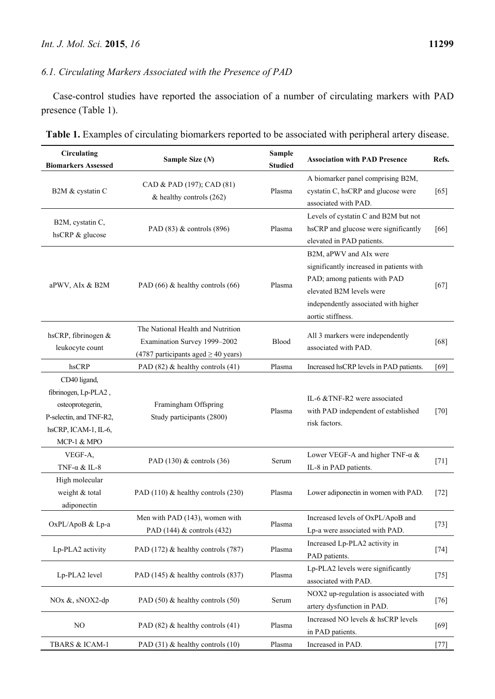# *6.1. Circulating Markers Associated with the Presence of PAD*

Case-control studies have reported the association of a number of circulating markers with PAD presence (Table 1).

| <b>Circulating</b><br><b>Biomarkers Assessed</b>                                                                           | Sample Size $(N)$                                                                                             | <b>Sample</b><br><b>Studied</b> | <b>Association with PAD Presence</b>                                                                                                                                                        | Refs.  |
|----------------------------------------------------------------------------------------------------------------------------|---------------------------------------------------------------------------------------------------------------|---------------------------------|---------------------------------------------------------------------------------------------------------------------------------------------------------------------------------------------|--------|
| B2M & cystatin C                                                                                                           | CAD & PAD (197); CAD (81)<br>& healthy controls (262)                                                         | Plasma                          | A biomarker panel comprising B2M,<br>cystatin C, hsCRP and glucose were<br>associated with PAD.                                                                                             | $[65]$ |
| B2M, cystatin C,<br>hsCRP & glucose                                                                                        | PAD (83) & controls (896)                                                                                     | Plasma                          | Levels of cystatin C and B2M but not<br>hsCRP and glucose were significantly<br>elevated in PAD patients.                                                                                   | [66]   |
| aPWV, AIx & B2M                                                                                                            | PAD (66) & healthy controls (66)                                                                              | Plasma                          | B2M, aPWV and AIx were<br>significantly increased in patients with<br>PAD; among patients with PAD<br>elevated B2M levels were<br>independently associated with higher<br>aortic stiffness. | $[67]$ |
| hsCRP, fibrinogen &<br>leukocyte count                                                                                     | The National Health and Nutrition<br>Examination Survey 1999-2002<br>(4787 participants aged $\geq$ 40 years) | Blood                           | All 3 markers were independently<br>associated with PAD.                                                                                                                                    | $[68]$ |
| hsCRP                                                                                                                      | PAD (82) & healthy controls (41)                                                                              | Plasma                          | Increased hsCRP levels in PAD patients.                                                                                                                                                     | [69]   |
| CD40 ligand,<br>fibrinogen, Lp-PLA2,<br>osteoprotegerin,<br>P-selectin, and TNF-R2,<br>hsCRP, ICAM-1, IL-6,<br>MCP-1 & MPO | Framingham Offspring<br>Study participants (2800)                                                             | Plasma                          | IL-6 &TNF-R2 were associated<br>with PAD independent of established<br>risk factors.                                                                                                        | $[70]$ |
| VEGF-A,<br>TNF- $\alpha$ & IL-8                                                                                            | PAD $(130)$ & controls $(36)$                                                                                 | Serum                           | Lower VEGF-A and higher TNF- $\alpha \&$<br>IL-8 in PAD patients.                                                                                                                           | $[71]$ |
| High molecular<br>weight & total<br>adiponectin                                                                            | PAD (110) & healthy controls (230)                                                                            | Plasma                          | Lower adiponectin in women with PAD.                                                                                                                                                        | $[72]$ |
| OxPL/ApoB & Lp-a                                                                                                           | Men with PAD (143), women with<br>PAD $(144)$ & controls $(432)$                                              | Plasma                          | Increased levels of OxPL/ApoB and<br>Lp-a were associated with PAD.                                                                                                                         | $[73]$ |
| Lp-PLA2 activity                                                                                                           | PAD (172) & healthy controls (787)                                                                            | Plasma                          | Increased Lp-PLA2 activity in<br>PAD patients.                                                                                                                                              | $[74]$ |
| Lp-PLA2 level                                                                                                              | PAD (145) & healthy controls (837)                                                                            | Plasma                          | Lp-PLA2 levels were significantly<br>associated with PAD.                                                                                                                                   | $[75]$ |
| NOx &, sNOX2-dp                                                                                                            | PAD (50) & healthy controls (50)                                                                              | Serum                           | NOX2 up-regulation is associated with<br>artery dysfunction in PAD.                                                                                                                         | $[76]$ |
| N <sub>O</sub>                                                                                                             | PAD (82) & healthy controls (41)                                                                              | Plasma                          | Increased NO levels & hsCRP levels<br>in PAD patients.                                                                                                                                      | $[69]$ |
| TBARS & ICAM-1                                                                                                             | PAD $(31)$ & healthy controls $(10)$                                                                          | Plasma                          | Increased in PAD.                                                                                                                                                                           | [77]   |

**Table 1.** Examples of circulating biomarkers reported to be associated with peripheral artery disease.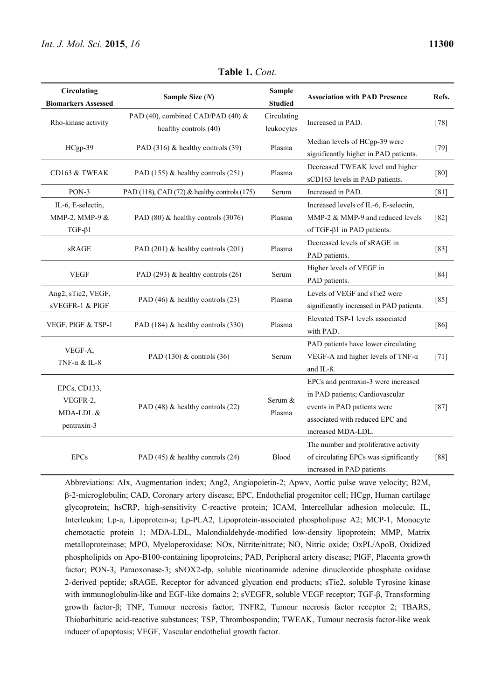| Circulating<br><b>Biomarkers Assessed</b>            | Sample Size (N)                                            | <b>Sample</b><br><b>Studied</b> | <b>Association with PAD Presence</b>                                                                                                                           | Refs.  |
|------------------------------------------------------|------------------------------------------------------------|---------------------------------|----------------------------------------------------------------------------------------------------------------------------------------------------------------|--------|
| Rho-kinase activity                                  | PAD (40), combined CAD/PAD (40) &<br>healthy controls (40) | Circulating<br>leukocytes       | Increased in PAD.                                                                                                                                              | $[78]$ |
| HCgp-39                                              | PAD (316) & healthy controls (39)                          | Plasma                          | Median levels of HCgp-39 were<br>significantly higher in PAD patients.                                                                                         | $[79]$ |
| CD163 & TWEAK                                        | PAD (155) & healthy controls (251)                         | Plasma                          | Decreased TWEAK level and higher<br>sCD163 levels in PAD patients.                                                                                             | [80]   |
| PON-3                                                | PAD (118), CAD (72) $\&$ healthy controls (175)            | Serum                           | Increased in PAD.                                                                                                                                              | [81]   |
| IL-6, E-selectin,<br>MMP-2, MMP-9 &<br>$TGF-\beta1$  | PAD (80) & healthy controls (3076)                         | Plasma                          | Increased levels of IL-6, E-selectin,<br>MMP-2 & MMP-9 and reduced levels<br>of TGF- $\beta$ 1 in PAD patients.                                                | $[82]$ |
| sRAGE                                                | PAD (201) & healthy controls (201)                         | Plasma                          | Decreased levels of sRAGE in<br>PAD patients.                                                                                                                  | $[83]$ |
| <b>VEGF</b>                                          | PAD (293) & healthy controls (26)                          | Serum                           | Higher levels of VEGF in<br>PAD patients.                                                                                                                      | [84]   |
| Ang2, sTie2, VEGF,<br>sVEGFR-1 & PIGF                | PAD (46) & healthy controls (23)                           | Plasma                          | Levels of VEGF and sTie2 were<br>significantly increased in PAD patients.                                                                                      | $[85]$ |
| VEGF, PIGF & TSP-1                                   | PAD (184) & healthy controls (330)                         | Plasma                          | Elevated TSP-1 levels associated<br>with PAD.                                                                                                                  | $[86]$ |
| VEGF-A,<br>TNF- $\alpha$ & IL-8                      | PAD $(130)$ & controls $(36)$                              | Serum                           | PAD patients have lower circulating<br>VEGF-A and higher levels of TNF- $\alpha$<br>and IL-8.                                                                  | $[71]$ |
| EPCs, CD133,<br>VEGFR-2,<br>MDA-LDL &<br>pentraxin-3 | PAD (48) & healthy controls (22)                           | Serum &<br>Plasma               | EPCs and pentraxin-3 were increased<br>in PAD patients; Cardiovascular<br>events in PAD patients were<br>associated with reduced EPC and<br>increased MDA-LDL. | $[87]$ |
| <b>EPCs</b>                                          | PAD $(45)$ & healthy controls $(24)$                       | Blood                           | The number and proliferative activity<br>of circulating EPCs was significantly<br>increased in PAD patients.                                                   | [88]   |

**Table 1.** *Cont.*

Abbreviations: AIx, Augmentation index; Ang2, Angiopoietin-2; Apwv, Aortic pulse wave velocity; B2M, β-2-microglobulin; CAD, Coronary artery disease; EPC, Endothelial progenitor cell; HCgp, Human cartilage glycoprotein; hsCRP, high-sensitivity C-reactive protein; ICAM, Intercellular adhesion molecule; IL, Interleukin; Lp-a, Lipoprotein-a; Lp-PLA2, Lipoprotein-associated phospholipase A2; MCP-1, Monocyte chemotactic protein 1; MDA-LDL, Malondialdehyde-modified low-density lipoprotein; MMP, Matrix metalloproteinase; MPO, Myeloperoxidase; NOx, Nitrite/nitrate; NO, Nitric oxide; OxPL/ApoB, Oxidized phospholipids on Apo-B100-containing lipoproteins; PAD, Peripheral artery disease; PlGF, Placenta growth factor; PON-3, Paraoxonase-3; sNOX2-dp, soluble nicotinamide adenine dinucleotide phosphate oxidase 2-derived peptide; sRAGE, Receptor for advanced glycation end products; sTie2, soluble Tyrosine kinase with immunoglobulin-like and EGF-like domains 2; sVEGFR, soluble VEGF receptor; TGF-β, Transforming growth factor-β; TNF, Tumour necrosis factor; TNFR2, Tumour necrosis factor receptor 2; TBARS, Thiobarbituric acid-reactive substances; TSP, Thrombospondin; TWEAK, Tumour necrosis factor-like weak inducer of apoptosis; VEGF, Vascular endothelial growth factor.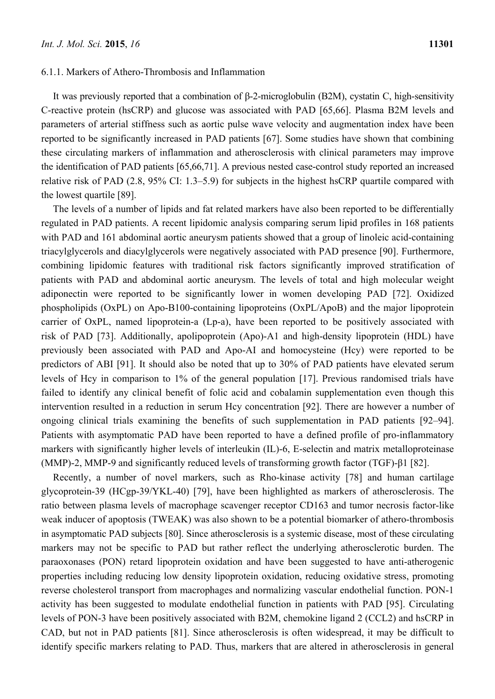#### 6.1.1. Markers of Athero-Thrombosis and Inflammation

It was previously reported that a combination of β-2-microglobulin (B2M), cystatin C, high-sensitivity C-reactive protein (hsCRP) and glucose was associated with PAD [65,66]. Plasma B2M levels and parameters of arterial stiffness such as aortic pulse wave velocity and augmentation index have been reported to be significantly increased in PAD patients [67]. Some studies have shown that combining these circulating markers of inflammation and atherosclerosis with clinical parameters may improve the identification of PAD patients [65,66,71]. A previous nested case-control study reported an increased relative risk of PAD (2.8, 95% CI: 1.3–5.9) for subjects in the highest hsCRP quartile compared with the lowest quartile [89].

The levels of a number of lipids and fat related markers have also been reported to be differentially regulated in PAD patients. A recent lipidomic analysis comparing serum lipid profiles in 168 patients with PAD and 161 abdominal aortic aneurysm patients showed that a group of linoleic acid-containing triacylglycerols and diacylglycerols were negatively associated with PAD presence [90]. Furthermore, combining lipidomic features with traditional risk factors significantly improved stratification of patients with PAD and abdominal aortic aneurysm. The levels of total and high molecular weight adiponectin were reported to be significantly lower in women developing PAD [72]. Oxidized phospholipids (OxPL) on Apo-B100-containing lipoproteins (OxPL/ApoB) and the major lipoprotein carrier of OxPL, named lipoprotein-a (Lp-a), have been reported to be positively associated with risk of PAD [73]. Additionally, apolipoprotein (Apo)-A1 and high-density lipoprotein (HDL) have previously been associated with PAD and Apo-AI and homocysteine (Hcy) were reported to be predictors of ABI [91]. It should also be noted that up to 30% of PAD patients have elevated serum levels of Hcy in comparison to 1% of the general population [17]. Previous randomised trials have failed to identify any clinical benefit of folic acid and cobalamin supplementation even though this intervention resulted in a reduction in serum Hcy concentration [92]. There are however a number of ongoing clinical trials examining the benefits of such supplementation in PAD patients [92–94]. Patients with asymptomatic PAD have been reported to have a defined profile of pro-inflammatory markers with significantly higher levels of interleukin (IL)-6, E-selectin and matrix metalloproteinase (MMP)-2, MMP-9 and significantly reduced levels of transforming growth factor (TGF)-β1 [82].

Recently, a number of novel markers, such as Rho-kinase activity [78] and human cartilage glycoprotein-39 (HCgp-39/YKL-40) [79], have been highlighted as markers of atherosclerosis. The ratio between plasma levels of macrophage scavenger receptor CD163 and tumor necrosis factor-like weak inducer of apoptosis (TWEAK) was also shown to be a potential biomarker of athero-thrombosis in asymptomatic PAD subjects [80]. Since atherosclerosis is a systemic disease, most of these circulating markers may not be specific to PAD but rather reflect the underlying atherosclerotic burden. The paraoxonases (PON) retard lipoprotein oxidation and have been suggested to have anti-atherogenic properties including reducing low density lipoprotein oxidation, reducing oxidative stress, promoting reverse cholesterol transport from macrophages and normalizing vascular endothelial function. PON-1 activity has been suggested to modulate endothelial function in patients with PAD [95]. Circulating levels of PON-3 have been positively associated with B2M, chemokine ligand 2 (CCL2) and hsCRP in CAD, but not in PAD patients [81]. Since atherosclerosis is often widespread, it may be difficult to identify specific markers relating to PAD. Thus, markers that are altered in atherosclerosis in general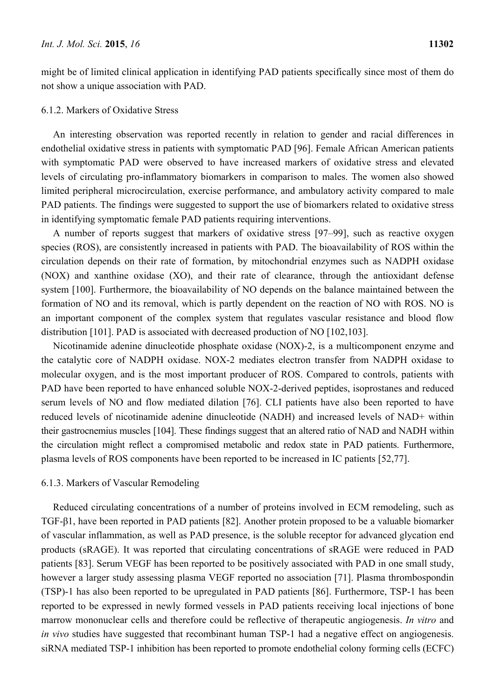might be of limited clinical application in identifying PAD patients specifically since most of them do not show a unique association with PAD.

#### 6.1.2. Markers of Oxidative Stress

An interesting observation was reported recently in relation to gender and racial differences in endothelial oxidative stress in patients with symptomatic PAD [96]. Female African American patients with symptomatic PAD were observed to have increased markers of oxidative stress and elevated levels of circulating pro-inflammatory biomarkers in comparison to males. The women also showed limited peripheral microcirculation, exercise performance, and ambulatory activity compared to male PAD patients. The findings were suggested to support the use of biomarkers related to oxidative stress in identifying symptomatic female PAD patients requiring interventions.

A number of reports suggest that markers of oxidative stress [97–99], such as reactive oxygen species (ROS), are consistently increased in patients with PAD. The bioavailability of ROS within the circulation depends on their rate of formation, by mitochondrial enzymes such as NADPH oxidase (NOX) and xanthine oxidase (XO), and their rate of clearance, through the antioxidant defense system [100]. Furthermore, the bioavailability of NO depends on the balance maintained between the formation of NO and its removal, which is partly dependent on the reaction of NO with ROS. NO is an important component of the complex system that regulates vascular resistance and blood flow distribution [101]. PAD is associated with decreased production of NO [102,103].

Nicotinamide adenine dinucleotide phosphate oxidase (NOX)-2, is a multicomponent enzyme and the catalytic core of NADPH oxidase. NOX-2 mediates electron transfer from NADPH oxidase to molecular oxygen, and is the most important producer of ROS. Compared to controls, patients with PAD have been reported to have enhanced soluble NOX-2-derived peptides, isoprostanes and reduced serum levels of NO and flow mediated dilation [76]. CLI patients have also been reported to have reduced levels of nicotinamide adenine dinucleotide (NADH) and increased levels of NAD+ within their gastrocnemius muscles [104]. These findings suggest that an altered ratio of NAD and NADH within the circulation might reflect a compromised metabolic and redox state in PAD patients. Furthermore, plasma levels of ROS components have been reported to be increased in IC patients [52,77].

#### 6.1.3. Markers of Vascular Remodeling

Reduced circulating concentrations of a number of proteins involved in ECM remodeling, such as TGF-β1, have been reported in PAD patients [82]. Another protein proposed to be a valuable biomarker of vascular inflammation, as well as PAD presence, is the soluble receptor for advanced glycation end products (sRAGE). It was reported that circulating concentrations of sRAGE were reduced in PAD patients [83]. Serum VEGF has been reported to be positively associated with PAD in one small study, however a larger study assessing plasma VEGF reported no association [71]. Plasma thrombospondin (TSP)-1 has also been reported to be upregulated in PAD patients [86]. Furthermore, TSP-1 has been reported to be expressed in newly formed vessels in PAD patients receiving local injections of bone marrow mononuclear cells and therefore could be reflective of therapeutic angiogenesis. *In vitro* and *in vivo* studies have suggested that recombinant human TSP-1 had a negative effect on angiogenesis. siRNA mediated TSP-1 inhibition has been reported to promote endothelial colony forming cells (ECFC)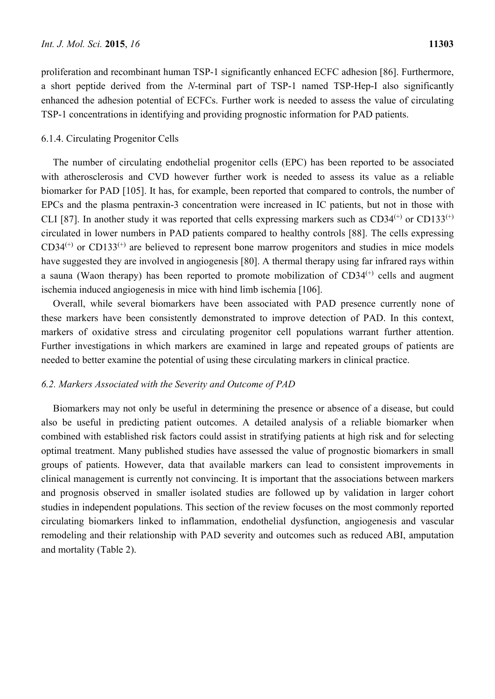proliferation and recombinant human TSP-1 significantly enhanced ECFC adhesion [86]. Furthermore, a short peptide derived from the *N*-terminal part of TSP-1 named TSP-Hep-I also significantly enhanced the adhesion potential of ECFCs. Further work is needed to assess the value of circulating TSP-1 concentrations in identifying and providing prognostic information for PAD patients.

#### 6.1.4. Circulating Progenitor Cells

The number of circulating endothelial progenitor cells (EPC) has been reported to be associated with atherosclerosis and CVD however further work is needed to assess its value as a reliable biomarker for PAD [105]. It has, for example, been reported that compared to controls, the number of EPCs and the plasma pentraxin-3 concentration were increased in IC patients, but not in those with CLI [87]. In another study it was reported that cells expressing markers such as  $CD34^{(+)}$  or  $CD133^{(+)}$ circulated in lower numbers in PAD patients compared to healthy controls [88]. The cells expressing  $CD34^{(+)}$  or  $CD133^{(+)}$  are believed to represent bone marrow progenitors and studies in mice models have suggested they are involved in angiogenesis [80]. A thermal therapy using far infrared rays within a sauna (Waon therapy) has been reported to promote mobilization of  $CD34<sup>(+)</sup>$  cells and augment ischemia induced angiogenesis in mice with hind limb ischemia [106].

Overall, while several biomarkers have been associated with PAD presence currently none of these markers have been consistently demonstrated to improve detection of PAD. In this context, markers of oxidative stress and circulating progenitor cell populations warrant further attention. Further investigations in which markers are examined in large and repeated groups of patients are needed to better examine the potential of using these circulating markers in clinical practice.

#### *6.2. Markers Associated with the Severity and Outcome of PAD*

Biomarkers may not only be useful in determining the presence or absence of a disease, but could also be useful in predicting patient outcomes. A detailed analysis of a reliable biomarker when combined with established risk factors could assist in stratifying patients at high risk and for selecting optimal treatment. Many published studies have assessed the value of prognostic biomarkers in small groups of patients. However, data that available markers can lead to consistent improvements in clinical management is currently not convincing. It is important that the associations between markers and prognosis observed in smaller isolated studies are followed up by validation in larger cohort studies in independent populations. This section of the review focuses on the most commonly reported circulating biomarkers linked to inflammation, endothelial dysfunction, angiogenesis and vascular remodeling and their relationship with PAD severity and outcomes such as reduced ABI, amputation and mortality (Table 2).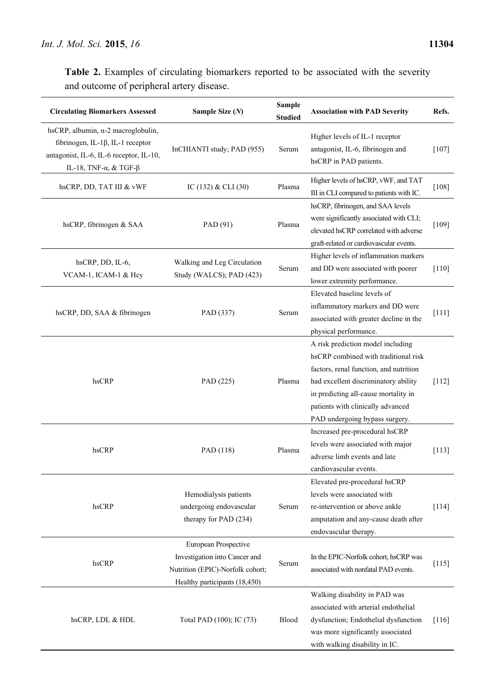**Table 2.** Examples of circulating biomarkers reported to be associated with the severity and outcome of peripheral artery disease.

| <b>Circulating Biomarkers Assessed</b>                                                                                                                              | Sample Size (N)                                                                                                            | <b>Sample</b><br><b>Studied</b> | <b>Association with PAD Severity</b>                                                                                                                                                                                                                                       | Refs.   |
|---------------------------------------------------------------------------------------------------------------------------------------------------------------------|----------------------------------------------------------------------------------------------------------------------------|---------------------------------|----------------------------------------------------------------------------------------------------------------------------------------------------------------------------------------------------------------------------------------------------------------------------|---------|
| hsCRP, albumin, $\alpha$ -2 macroglobulin,<br>fibrinogen, IL-1 $\beta$ , IL-1 receptor<br>antagonist, IL-6, IL-6 receptor, IL-10,<br>IL-18, TNF- $\alpha$ , & TGF-β | InCHIANTI study; PAD (955)                                                                                                 | Serum                           | Higher levels of IL-1 receptor<br>antagonist, IL-6, fibrinogen and<br>hsCRP in PAD patients.                                                                                                                                                                               | $[107]$ |
| hsCRP, DD, TAT III & vWF                                                                                                                                            | IC (132) & CLI (30)                                                                                                        | Plasma                          | Higher levels of hsCRP, vWF, and TAT<br>III in CLI compared to patients with IC.                                                                                                                                                                                           | $[108]$ |
| hsCRP, fibrinogen & SAA                                                                                                                                             | PAD (91)                                                                                                                   | Plasma                          | hsCRP, fibrinogen, and SAA levels<br>were significantly associated with CLI;<br>elevated hsCRP correlated with adverse<br>graft-related or cardiovascular events.                                                                                                          | [109]   |
| hsCRP, DD, IL-6,<br>VCAM-1, ICAM-1 & Hey                                                                                                                            | Walking and Leg Circulation<br>Study (WALCS); PAD (423)                                                                    | Serum                           | Higher levels of inflammation markers<br>and DD were associated with poorer<br>lower extremity performance.                                                                                                                                                                | $[110]$ |
| hsCRP, DD, SAA & fibrinogen                                                                                                                                         | PAD (337)                                                                                                                  | Serum                           | Elevated baseline levels of<br>inflammatory markers and DD were<br>associated with greater decline in the<br>physical performance.                                                                                                                                         | $[111]$ |
| hsCRP                                                                                                                                                               | PAD (225)                                                                                                                  | Plasma                          | A risk prediction model including<br>hsCRP combined with traditional risk<br>factors, renal function, and nutrition<br>had excellent discriminatory ability<br>in predicting all-cause mortality in<br>patients with clinically advanced<br>PAD undergoing bypass surgery. | $[112]$ |
| hsCRP                                                                                                                                                               | PAD (118)                                                                                                                  | Plasma                          | Increased pre-procedural hsCRP<br>levels were associated with major<br>adverse limb events and late<br>cardiovascular events.                                                                                                                                              | $[113]$ |
| hsCRP                                                                                                                                                               | Hemodialysis patients<br>undergoing endovascular<br>therapy for PAD (234)                                                  | Serum                           | Elevated pre-procedural hsCRP<br>levels were associated with<br>re-intervention or above ankle<br>amputation and any-cause death after<br>endovascular therapy.                                                                                                            | $[114]$ |
| hsCRP                                                                                                                                                               | European Prospective<br>Investigation into Cancer and<br>Nutrition (EPIC)-Norfolk cohort;<br>Healthy participants (18,450) | Serum                           | In the EPIC-Norfolk cohort, hsCRP was<br>associated with nonfatal PAD events.                                                                                                                                                                                              | $[115]$ |
| hsCRP, LDL & HDL                                                                                                                                                    | Total PAD (100); IC (73)                                                                                                   | Blood                           | Walking disability in PAD was<br>associated with arterial endothelial<br>dysfunction; Endothelial dysfunction<br>was more significantly associated<br>with walking disability in IC.                                                                                       | $[116]$ |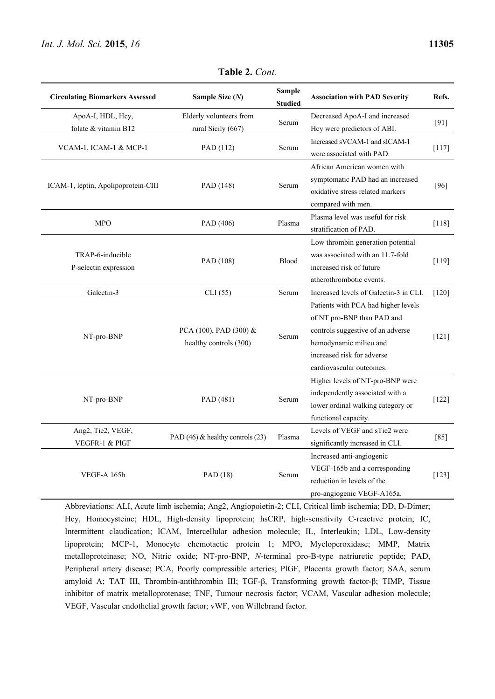| <b>Circulating Biomarkers Assessed</b> | Sample Size (N)                               | <b>Sample</b><br><b>Studied</b> | <b>Association with PAD Severity</b>   | Refs.   |
|----------------------------------------|-----------------------------------------------|---------------------------------|----------------------------------------|---------|
| ApoA-I, HDL, Hcy,                      | Elderly volunteers from<br>rural Sicily (667) | Serum                           | Decreased ApoA-I and increased         | $[91]$  |
| folate & vitamin B12                   |                                               |                                 | Hey were predictors of ABI.            |         |
|                                        | PAD (112)                                     | Serum                           | Increased sVCAM-1 and sICAM-1          | $[117]$ |
| VCAM-1, ICAM-1 & MCP-1                 |                                               |                                 | were associated with PAD.              |         |
|                                        | PAD (148)                                     | Serum                           | African American women with            | $[96]$  |
|                                        |                                               |                                 | symptomatic PAD had an increased       |         |
| ICAM-1, leptin, Apolipoprotein-CIII    |                                               |                                 | oxidative stress related markers       |         |
|                                        |                                               |                                 | compared with men.                     |         |
| <b>MPO</b>                             |                                               | Plasma                          | Plasma level was useful for risk       | $[118]$ |
|                                        | PAD (406)                                     |                                 | stratification of PAD.                 |         |
|                                        | PAD (108)                                     | Blood                           | Low thrombin generation potential      | $[119]$ |
| TRAP-6-inducible                       |                                               |                                 | was associated with an 11.7-fold       |         |
| P-selectin expression                  |                                               |                                 | increased risk of future               |         |
|                                        |                                               |                                 | atherothrombotic events.               |         |
| Galectin-3                             | CLI(55)                                       | Serum                           | Increased levels of Galectin-3 in CLI. | $[120]$ |
|                                        |                                               | Serum                           | Patients with PCA had higher levels    | $[121]$ |
|                                        | PCA (100), PAD (300) &                        |                                 | of NT pro-BNP than PAD and             |         |
| NT-pro-BNP                             |                                               |                                 | controls suggestive of an adverse      |         |
|                                        | healthy controls (300)                        |                                 | hemodynamic milieu and                 |         |
|                                        |                                               |                                 | increased risk for adverse             |         |
|                                        |                                               |                                 | cardiovascular outcomes.               |         |
|                                        | PAD (481)                                     | Serum                           | Higher levels of NT-pro-BNP were       | $[122]$ |
| NT-pro-BNP                             |                                               |                                 | independently associated with a        |         |
|                                        |                                               |                                 | lower ordinal walking category or      |         |
|                                        |                                               |                                 | functional capacity.                   |         |
| Ang2, Tie2, VEGF,                      | PAD (46) & healthy controls (23)              | Plasma                          | Levels of VEGF and sTie2 were          | $[85]$  |
| VEGFR-1 & PIGF                         |                                               |                                 | significantly increased in CLI.        |         |
|                                        |                                               | Serum                           | Increased anti-angiogenic              | $[123]$ |
| <b>VEGF-A 165b</b>                     | PAD(18)                                       |                                 | VEGF-165b and a corresponding          |         |
|                                        |                                               |                                 | reduction in levels of the             |         |
|                                        |                                               |                                 | pro-angiogenic VEGF-A165a.             |         |

**Table 2.** *Cont.*

Abbreviations: ALI, Acute limb ischemia; Ang2, Angiopoietin-2; CLI, Critical limb ischemia; DD, D-Dimer; Hcy, Homocysteine; HDL, High-density lipoprotein; hsCRP, high-sensitivity C-reactive protein; IC, Intermittent claudication; ICAM, Intercellular adhesion molecule; IL, Interleukin; LDL, Low-density lipoprotein; MCP-1, Monocyte chemotactic protein 1; MPO, Myeloperoxidase; MMP, Matrix metalloproteinase; NO, Nitric oxide; NT-pro-BNP, *N*-terminal pro-B-type natriuretic peptide; PAD, Peripheral artery disease; PCA, Poorly compressible arteries; PlGF, Placenta growth factor; SAA, serum amyloid A; TAT III, Thrombin-antithrombin III; TGF-β, Transforming growth factor-β; TIMP, Tissue inhibitor of matrix metalloprotenase; TNF, Tumour necrosis factor; VCAM, Vascular adhesion molecule; VEGF, Vascular endothelial growth factor; vWF, von Willebrand factor.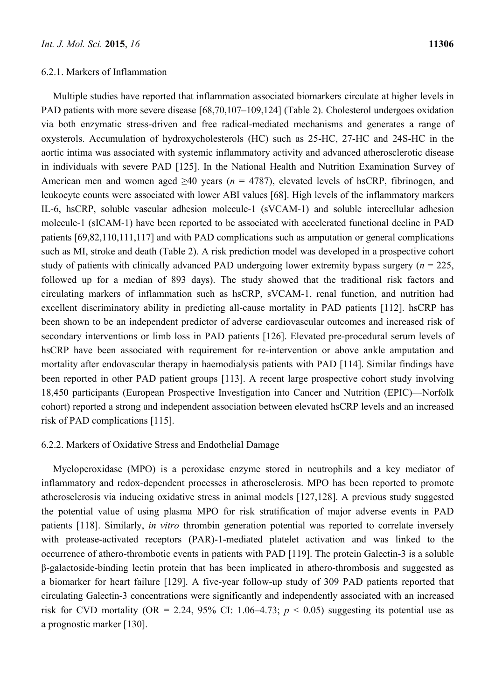### 6.2.1. Markers of Inflammation

Multiple studies have reported that inflammation associated biomarkers circulate at higher levels in PAD patients with more severe disease [68,70,107–109,124] (Table 2). Cholesterol undergoes oxidation via both enzymatic stress-driven and free radical-mediated mechanisms and generates a range of oxysterols. Accumulation of hydroxycholesterols (HC) such as 25-HC, 27-HC and 24S-HC in the aortic intima was associated with systemic inflammatory activity and advanced atherosclerotic disease in individuals with severe PAD [125]. In the National Health and Nutrition Examination Survey of American men and women aged ≥40 years (*n* = 4787), elevated levels of hsCRP, fibrinogen, and leukocyte counts were associated with lower ABI values [68]. High levels of the inflammatory markers IL-6, hsCRP, soluble vascular adhesion molecule-1 (sVCAM-1) and soluble intercellular adhesion molecule-1 (sICAM-1) have been reported to be associated with accelerated functional decline in PAD patients [69,82,110,111,117] and with PAD complications such as amputation or general complications such as MI, stroke and death (Table 2). A risk prediction model was developed in a prospective cohort study of patients with clinically advanced PAD undergoing lower extremity bypass surgery  $(n = 225)$ , followed up for a median of 893 days). The study showed that the traditional risk factors and circulating markers of inflammation such as hsCRP, sVCAM-1, renal function, and nutrition had excellent discriminatory ability in predicting all-cause mortality in PAD patients [112]. hsCRP has been shown to be an independent predictor of adverse cardiovascular outcomes and increased risk of secondary interventions or limb loss in PAD patients [126]. Elevated pre-procedural serum levels of hsCRP have been associated with requirement for re-intervention or above ankle amputation and mortality after endovascular therapy in haemodialysis patients with PAD [114]. Similar findings have been reported in other PAD patient groups [113]. A recent large prospective cohort study involving 18,450 participants (European Prospective Investigation into Cancer and Nutrition (EPIC)—Norfolk cohort) reported a strong and independent association between elevated hsCRP levels and an increased risk of PAD complications [115].

#### 6.2.2. Markers of Oxidative Stress and Endothelial Damage

Myeloperoxidase (MPO) is a peroxidase enzyme stored in neutrophils and a key mediator of inflammatory and redox-dependent processes in atherosclerosis. MPO has been reported to promote atherosclerosis via inducing oxidative stress in animal models [127,128]. A previous study suggested the potential value of using plasma MPO for risk stratification of major adverse events in PAD patients [118]. Similarly, *in vitro* thrombin generation potential was reported to correlate inversely with protease-activated receptors (PAR)-1-mediated platelet activation and was linked to the occurrence of athero-thrombotic events in patients with PAD [119]. The protein Galectin-3 is a soluble β-galactoside-binding lectin protein that has been implicated in athero-thrombosis and suggested as a biomarker for heart failure [129]. A five-year follow-up study of 309 PAD patients reported that circulating Galectin-3 concentrations were significantly and independently associated with an increased risk for CVD mortality (OR = 2.24, 95% CI: 1.06–4.73;  $p < 0.05$ ) suggesting its potential use as a prognostic marker [130].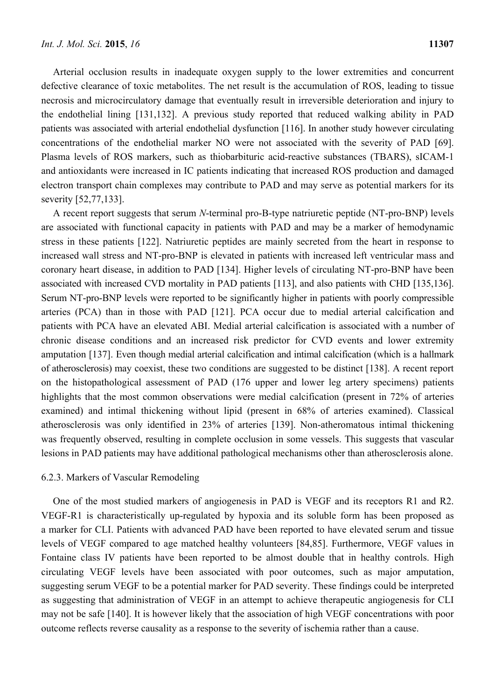Arterial occlusion results in inadequate oxygen supply to the lower extremities and concurrent defective clearance of toxic metabolites. The net result is the accumulation of ROS, leading to tissue necrosis and microcirculatory damage that eventually result in irreversible deterioration and injury to the endothelial lining [131,132]. A previous study reported that reduced walking ability in PAD patients was associated with arterial endothelial dysfunction [116]. In another study however circulating concentrations of the endothelial marker NO were not associated with the severity of PAD [69]. Plasma levels of ROS markers, such as thiobarbituric acid-reactive substances (TBARS), sICAM-1 and antioxidants were increased in IC patients indicating that increased ROS production and damaged electron transport chain complexes may contribute to PAD and may serve as potential markers for its severity [52,77,133].

A recent report suggests that serum *N*-terminal pro-B-type natriuretic peptide (NT-pro-BNP) levels are associated with functional capacity in patients with PAD and may be a marker of hemodynamic stress in these patients [122]. Natriuretic peptides are mainly secreted from the heart in response to increased wall stress and NT-pro-BNP is elevated in patients with increased left ventricular mass and coronary heart disease, in addition to PAD [134]. Higher levels of circulating NT-pro-BNP have been associated with increased CVD mortality in PAD patients [113], and also patients with CHD [135,136]. Serum NT-pro-BNP levels were reported to be significantly higher in patients with poorly compressible arteries (PCA) than in those with PAD [121]. PCA occur due to medial arterial calcification and patients with PCA have an elevated ABI. Medial arterial calcification is associated with a number of chronic disease conditions and an increased risk predictor for CVD events and lower extremity amputation [137]. Even though medial arterial calcification and intimal calcification (which is a hallmark of atherosclerosis) may coexist, these two conditions are suggested to be distinct [138]. A recent report on the histopathological assessment of PAD (176 upper and lower leg artery specimens) patients highlights that the most common observations were medial calcification (present in 72% of arteries examined) and intimal thickening without lipid (present in 68% of arteries examined). Classical atherosclerosis was only identified in 23% of arteries [139]. Non-atheromatous intimal thickening was frequently observed, resulting in complete occlusion in some vessels. This suggests that vascular lesions in PAD patients may have additional pathological mechanisms other than atherosclerosis alone.

#### 6.2.3. Markers of Vascular Remodeling

One of the most studied markers of angiogenesis in PAD is VEGF and its receptors R1 and R2. VEGF-R1 is characteristically up-regulated by hypoxia and its soluble form has been proposed as a marker for CLI. Patients with advanced PAD have been reported to have elevated serum and tissue levels of VEGF compared to age matched healthy volunteers [84,85]. Furthermore, VEGF values in Fontaine class IV patients have been reported to be almost double that in healthy controls. High circulating VEGF levels have been associated with poor outcomes, such as major amputation, suggesting serum VEGF to be a potential marker for PAD severity. These findings could be interpreted as suggesting that administration of VEGF in an attempt to achieve therapeutic angiogenesis for CLI may not be safe [140]. It is however likely that the association of high VEGF concentrations with poor outcome reflects reverse causality as a response to the severity of ischemia rather than a cause.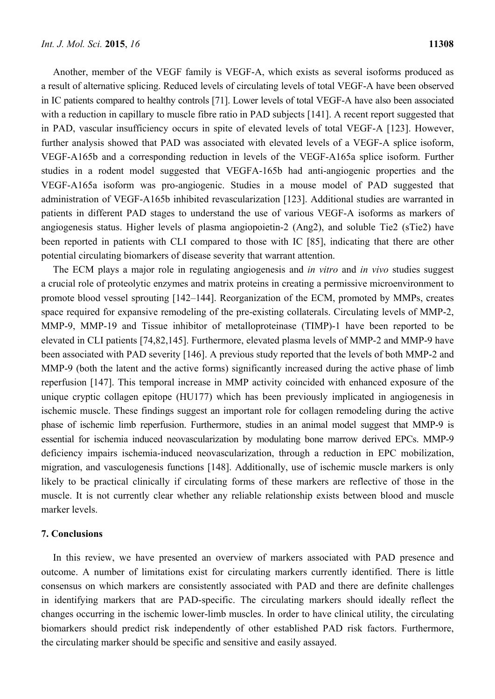Another, member of the VEGF family is VEGF-A, which exists as several isoforms produced as a result of alternative splicing. Reduced levels of circulating levels of total VEGF-A have been observed in IC patients compared to healthy controls [71]. Lower levels of total VEGF-A have also been associated with a reduction in capillary to muscle fibre ratio in PAD subjects [141]. A recent report suggested that in PAD, vascular insufficiency occurs in spite of elevated levels of total VEGF-A [123]. However, further analysis showed that PAD was associated with elevated levels of a VEGF-A splice isoform, VEGF-A165b and a corresponding reduction in levels of the VEGF-A165a splice isoform. Further studies in a rodent model suggested that VEGFA-165b had anti-angiogenic properties and the VEGF-A165a isoform was pro-angiogenic. Studies in a mouse model of PAD suggested that administration of VEGF-A165b inhibited revascularization [123]. Additional studies are warranted in patients in different PAD stages to understand the use of various VEGF-A isoforms as markers of angiogenesis status. Higher levels of plasma angiopoietin-2 (Ang2), and soluble Tie2 (sTie2) have been reported in patients with CLI compared to those with IC [85], indicating that there are other potential circulating biomarkers of disease severity that warrant attention.

The ECM plays a major role in regulating angiogenesis and *in vitro* and *in vivo* studies suggest a crucial role of proteolytic enzymes and matrix proteins in creating a permissive microenvironment to promote blood vessel sprouting [142–144]. Reorganization of the ECM, promoted by MMPs, creates space required for expansive remodeling of the pre-existing collaterals. Circulating levels of MMP-2, MMP-9, MMP-19 and Tissue inhibitor of metalloproteinase (TIMP)-1 have been reported to be elevated in CLI patients [74,82,145]. Furthermore, elevated plasma levels of MMP-2 and MMP-9 have been associated with PAD severity [146]. A previous study reported that the levels of both MMP-2 and MMP-9 (both the latent and the active forms) significantly increased during the active phase of limb reperfusion [147]. This temporal increase in MMP activity coincided with enhanced exposure of the unique cryptic collagen epitope (HU177) which has been previously implicated in angiogenesis in ischemic muscle. These findings suggest an important role for collagen remodeling during the active phase of ischemic limb reperfusion. Furthermore, studies in an animal model suggest that MMP-9 is essential for ischemia induced neovascularization by modulating bone marrow derived EPCs. MMP-9 deficiency impairs ischemia-induced neovascularization, through a reduction in EPC mobilization, migration, and vasculogenesis functions [148]. Additionally, use of ischemic muscle markers is only likely to be practical clinically if circulating forms of these markers are reflective of those in the muscle. It is not currently clear whether any reliable relationship exists between blood and muscle marker levels.

#### **7. Conclusions**

In this review, we have presented an overview of markers associated with PAD presence and outcome. A number of limitations exist for circulating markers currently identified. There is little consensus on which markers are consistently associated with PAD and there are definite challenges in identifying markers that are PAD-specific. The circulating markers should ideally reflect the changes occurring in the ischemic lower-limb muscles. In order to have clinical utility, the circulating biomarkers should predict risk independently of other established PAD risk factors. Furthermore, the circulating marker should be specific and sensitive and easily assayed.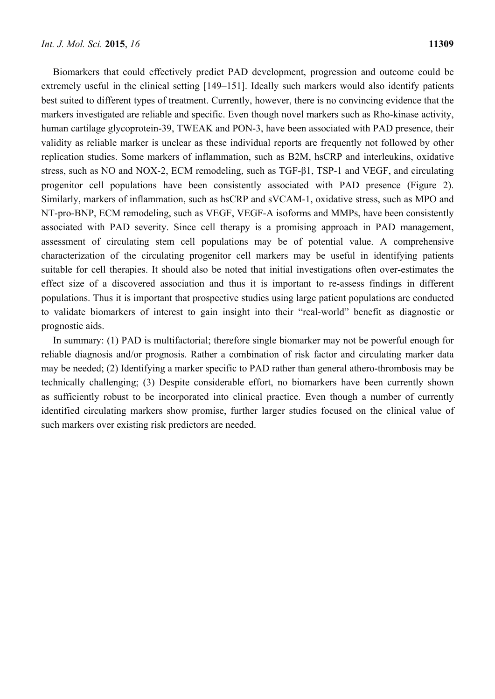Biomarkers that could effectively predict PAD development, progression and outcome could be extremely useful in the clinical setting [149–151]. Ideally such markers would also identify patients best suited to different types of treatment. Currently, however, there is no convincing evidence that the markers investigated are reliable and specific. Even though novel markers such as Rho-kinase activity, human cartilage glycoprotein-39, TWEAK and PON-3, have been associated with PAD presence, their validity as reliable marker is unclear as these individual reports are frequently not followed by other replication studies. Some markers of inflammation, such as B2M, hsCRP and interleukins, oxidative stress, such as NO and NOX-2, ECM remodeling, such as TGF-β1, TSP-1 and VEGF, and circulating progenitor cell populations have been consistently associated with PAD presence (Figure 2). Similarly, markers of inflammation, such as hsCRP and sVCAM-1, oxidative stress, such as MPO and NT-pro-BNP, ECM remodeling, such as VEGF, VEGF-A isoforms and MMPs, have been consistently associated with PAD severity. Since cell therapy is a promising approach in PAD management, assessment of circulating stem cell populations may be of potential value. A comprehensive characterization of the circulating progenitor cell markers may be useful in identifying patients suitable for cell therapies. It should also be noted that initial investigations often over-estimates the effect size of a discovered association and thus it is important to re-assess findings in different populations. Thus it is important that prospective studies using large patient populations are conducted to validate biomarkers of interest to gain insight into their "real-world" benefit as diagnostic or prognostic aids.

In summary: (1) PAD is multifactorial; therefore single biomarker may not be powerful enough for reliable diagnosis and/or prognosis. Rather a combination of risk factor and circulating marker data may be needed; (2) Identifying a marker specific to PAD rather than general athero-thrombosis may be technically challenging; (3) Despite considerable effort, no biomarkers have been currently shown as sufficiently robust to be incorporated into clinical practice. Even though a number of currently identified circulating markers show promise, further larger studies focused on the clinical value of such markers over existing risk predictors are needed.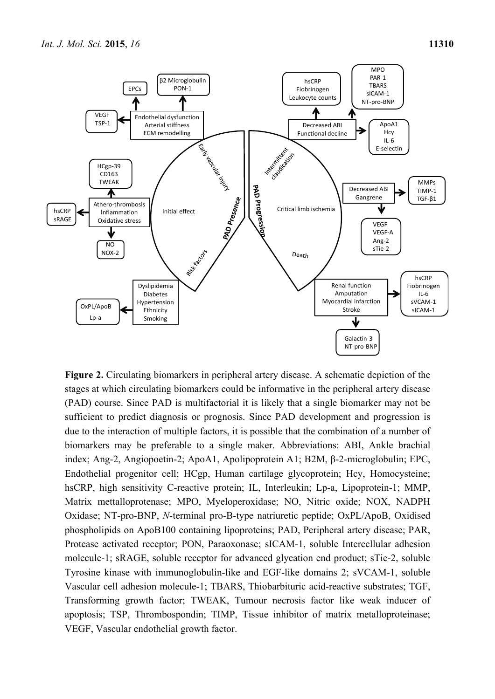

**Figure 2.** Circulating biomarkers in peripheral artery disease. A schematic depiction of the stages at which circulating biomarkers could be informative in the peripheral artery disease (PAD) course. Since PAD is multifactorial it is likely that a single biomarker may not be sufficient to predict diagnosis or prognosis. Since PAD development and progression is due to the interaction of multiple factors, it is possible that the combination of a number of biomarkers may be preferable to a single maker. Abbreviations: ABI, Ankle brachial index; Ang-2, Angiopoetin-2; ApoA1, Apolipoprotein A1; B2M, β-2-microglobulin; EPC, Endothelial progenitor cell; HCgp, Human cartilage glycoprotein; Hcy, Homocysteine; hsCRP, high sensitivity C-reactive protein; IL, Interleukin; Lp-a, Lipoprotein-1; MMP, Matrix mettalloprotenase; MPO, Myeloperoxidase; NO, Nitric oxide; NOX, NADPH Oxidase; NT-pro-BNP, *N*-terminal pro-B-type natriuretic peptide; OxPL/ApoB, Oxidised phospholipids on ApoB100 containing lipoproteins; PAD, Peripheral artery disease; PAR, Protease activated receptor; PON, Paraoxonase; sICAM-1, soluble Intercellular adhesion molecule-1; sRAGE, soluble receptor for advanced glycation end product; sTie-2, soluble Tyrosine kinase with immunoglobulin-like and EGF-like domains 2; sVCAM-1, soluble Vascular cell adhesion molecule-1; TBARS, Thiobarbituric acid-reactive substrates; TGF, Transforming growth factor; TWEAK, Tumour necrosis factor like weak inducer of apoptosis; TSP, Thrombospondin; TIMP, Tissue inhibitor of matrix metalloproteinase; VEGF, Vascular endothelial growth factor.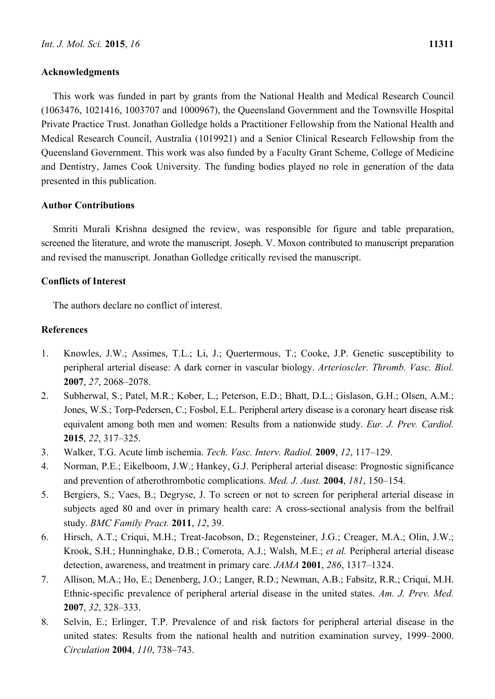#### **Acknowledgments**

This work was funded in part by grants from the National Health and Medical Research Council (1063476, 1021416, 1003707 and 1000967), the Queensland Government and the Townsville Hospital Private Practice Trust. Jonathan Golledge holds a Practitioner Fellowship from the National Health and Medical Research Council, Australia (1019921) and a Senior Clinical Research Fellowship from the Queensland Government. This work was also funded by a Faculty Grant Scheme, College of Medicine and Dentistry, James Cook University. The funding bodies played no role in generation of the data presented in this publication.

# **Author Contributions**

Smriti Murali Krishna designed the review, was responsible for figure and table preparation, screened the literature, and wrote the manuscript. Joseph. V. Moxon contributed to manuscript preparation and revised the manuscript. Jonathan Golledge critically revised the manuscript.

# **Conflicts of Interest**

The authors declare no conflict of interest.

#### **References**

- 1. Knowles, J.W.; Assimes, T.L.; Li, J.; Quertermous, T.; Cooke, J.P. Genetic susceptibility to peripheral arterial disease: A dark corner in vascular biology. *Arterioscler. Thromb. Vasc. Biol.*  **2007**, *27*, 2068–2078.
- 2. Subherwal, S.; Patel, M.R.; Kober, L.; Peterson, E.D.; Bhatt, D.L.; Gislason, G.H.; Olsen, A.M.; Jones, W.S.; Torp-Pedersen, C.; Fosbol, E.L. Peripheral artery disease is a coronary heart disease risk equivalent among both men and women: Results from a nationwide study. *Eur. J. Prev. Cardiol.*  **2015**, *22*, 317–325.
- 3. Walker, T.G. Acute limb ischemia. *Tech. Vasc. Interv. Radiol.* **2009**, *12*, 117–129.
- 4. Norman, P.E.; Eikelboom, J.W.; Hankey, G.J. Peripheral arterial disease: Prognostic significance and prevention of atherothrombotic complications. *Med. J. Aust.* **2004**, *181*, 150–154.
- 5. Bergiers, S.; Vaes, B.; Degryse, J. To screen or not to screen for peripheral arterial disease in subjects aged 80 and over in primary health care: A cross-sectional analysis from the belfrail study. *BMC Family Pract.* **2011**, *12*, 39.
- 6. Hirsch, A.T.; Criqui, M.H.; Treat-Jacobson, D.; Regensteiner, J.G.; Creager, M.A.; Olin, J.W.; Krook, S.H.; Hunninghake, D.B.; Comerota, A.J.; Walsh, M.E.; *et al.* Peripheral arterial disease detection, awareness, and treatment in primary care. *JAMA* **2001**, *286*, 1317–1324.
- 7. Allison, M.A.; Ho, E.; Denenberg, J.O.; Langer, R.D.; Newman, A.B.; Fabsitz, R.R.; Criqui, M.H. Ethnic-specific prevalence of peripheral arterial disease in the united states. *Am. J. Prev. Med.*  **2007**, *32*, 328–333.
- 8. Selvin, E.; Erlinger, T.P. Prevalence of and risk factors for peripheral arterial disease in the united states: Results from the national health and nutrition examination survey, 1999–2000. *Circulation* **2004**, *110*, 738–743.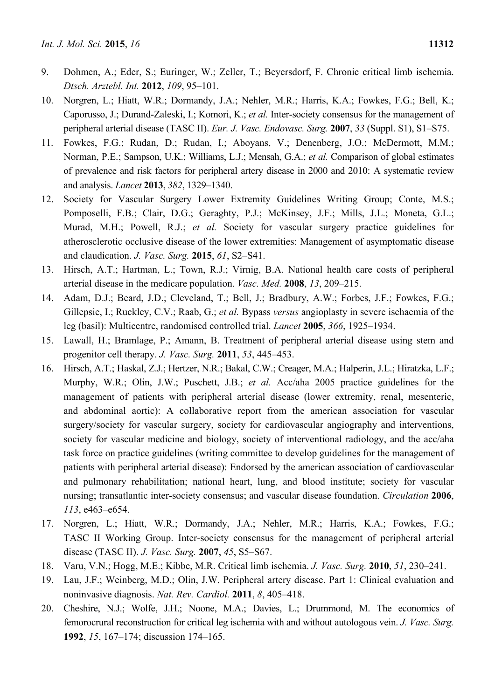- 9. Dohmen, A.; Eder, S.; Euringer, W.; Zeller, T.; Beyersdorf, F. Chronic critical limb ischemia. *Dtsch. Arztebl. Int.* **2012**, *109*, 95–101.
- 10. Norgren, L.; Hiatt, W.R.; Dormandy, J.A.; Nehler, M.R.; Harris, K.A.; Fowkes, F.G.; Bell, K.; Caporusso, J.; Durand-Zaleski, I.; Komori, K.; *et al.* Inter-society consensus for the management of peripheral arterial disease (TASC II). *Eur. J. Vasc. Endovasc. Surg.* **2007**, *33* (Suppl. S1), S1–S75.
- 11. Fowkes, F.G.; Rudan, D.; Rudan, I.; Aboyans, V.; Denenberg, J.O.; McDermott, M.M.; Norman, P.E.; Sampson, U.K.; Williams, L.J.; Mensah, G.A.; *et al.* Comparison of global estimates of prevalence and risk factors for peripheral artery disease in 2000 and 2010: A systematic review and analysis. *Lancet* **2013**, *382*, 1329–1340.
- 12. Society for Vascular Surgery Lower Extremity Guidelines Writing Group; Conte, M.S.; Pomposelli, F.B.; Clair, D.G.; Geraghty, P.J.; McKinsey, J.F.; Mills, J.L.; Moneta, G.L.; Murad, M.H.; Powell, R.J.; *et al.* Society for vascular surgery practice guidelines for atherosclerotic occlusive disease of the lower extremities: Management of asymptomatic disease and claudication. *J. Vasc. Surg.* **2015**, *61*, S2–S41.
- 13. Hirsch, A.T.; Hartman, L.; Town, R.J.; Virnig, B.A. National health care costs of peripheral arterial disease in the medicare population. *Vasc. Med.* **2008**, *13*, 209–215.
- 14. Adam, D.J.; Beard, J.D.; Cleveland, T.; Bell, J.; Bradbury, A.W.; Forbes, J.F.; Fowkes, F.G.; Gillepsie, I.; Ruckley, C.V.; Raab, G.; *et al.* Bypass *versus* angioplasty in severe ischaemia of the leg (basil): Multicentre, randomised controlled trial. *Lancet* **2005**, *366*, 1925–1934.
- 15. Lawall, H.; Bramlage, P.; Amann, B. Treatment of peripheral arterial disease using stem and progenitor cell therapy. *J. Vasc. Surg.* **2011**, *53*, 445–453.
- 16. Hirsch, A.T.; Haskal, Z.J.; Hertzer, N.R.; Bakal, C.W.; Creager, M.A.; Halperin, J.L.; Hiratzka, L.F.; Murphy, W.R.; Olin, J.W.; Puschett, J.B.; *et al.* Acc/aha 2005 practice guidelines for the management of patients with peripheral arterial disease (lower extremity, renal, mesenteric, and abdominal aortic): A collaborative report from the american association for vascular surgery/society for vascular surgery, society for cardiovascular angiography and interventions, society for vascular medicine and biology, society of interventional radiology, and the acc/aha task force on practice guidelines (writing committee to develop guidelines for the management of patients with peripheral arterial disease): Endorsed by the american association of cardiovascular and pulmonary rehabilitation; national heart, lung, and blood institute; society for vascular nursing; transatlantic inter-society consensus; and vascular disease foundation. *Circulation* **2006**, *113*, e463–e654.
- 17. Norgren, L.; Hiatt, W.R.; Dormandy, J.A.; Nehler, M.R.; Harris, K.A.; Fowkes, F.G.; TASC II Working Group. Inter-society consensus for the management of peripheral arterial disease (TASC II). *J. Vasc. Surg.* **2007**, *45*, S5–S67.
- 18. Varu, V.N.; Hogg, M.E.; Kibbe, M.R. Critical limb ischemia. *J. Vasc. Surg.* **2010**, *51*, 230–241.
- 19. Lau, J.F.; Weinberg, M.D.; Olin, J.W. Peripheral artery disease. Part 1: Clinical evaluation and noninvasive diagnosis. *Nat. Rev. Cardiol.* **2011**, *8*, 405–418.
- 20. Cheshire, N.J.; Wolfe, J.H.; Noone, M.A.; Davies, L.; Drummond, M. The economics of femorocrural reconstruction for critical leg ischemia with and without autologous vein. *J. Vasc. Surg.*  **1992**, *15*, 167–174; discussion 174–165.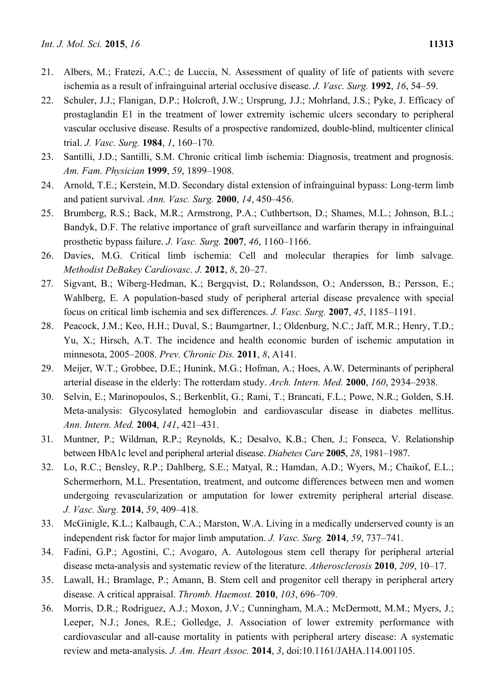- 21. Albers, M.; Fratezi, A.C.; de Luccia, N. Assessment of quality of life of patients with severe ischemia as a result of infrainguinal arterial occlusive disease. *J. Vasc. Surg.* **1992**, *16*, 54–59.
- 22. Schuler, J.J.; Flanigan, D.P.; Holcroft, J.W.; Ursprung, J.J.; Mohrland, J.S.; Pyke, J. Efficacy of prostaglandin E1 in the treatment of lower extremity ischemic ulcers secondary to peripheral vascular occlusive disease. Results of a prospective randomized, double-blind, multicenter clinical trial. *J. Vasc. Surg.* **1984**, *1*, 160–170.
- 23. Santilli, J.D.; Santilli, S.M. Chronic critical limb ischemia: Diagnosis, treatment and prognosis. *Am. Fam. Physician* **1999**, *59*, 1899–1908.
- 24. Arnold, T.E.; Kerstein, M.D. Secondary distal extension of infrainguinal bypass: Long-term limb and patient survival. *Ann. Vasc. Surg.* **2000**, *14*, 450–456.
- 25. Brumberg, R.S.; Back, M.R.; Armstrong, P.A.; Cuthbertson, D.; Shames, M.L.; Johnson, B.L.; Bandyk, D.F. The relative importance of graft surveillance and warfarin therapy in infrainguinal prosthetic bypass failure. *J. Vasc. Surg.* **2007**, *46*, 1160–1166.
- 26. Davies, M.G. Critical limb ischemia: Cell and molecular therapies for limb salvage. *Methodist DeBakey Cardiovasc. J.* **2012**, *8*, 20–27.
- 27. Sigvant, B.; Wiberg-Hedman, K.; Bergqvist, D.; Rolandsson, O.; Andersson, B.; Persson, E.; Wahlberg, E. A population-based study of peripheral arterial disease prevalence with special focus on critical limb ischemia and sex differences. *J. Vasc. Surg.* **2007**, *45*, 1185–1191.
- 28. Peacock, J.M.; Keo, H.H.; Duval, S.; Baumgartner, I.; Oldenburg, N.C.; Jaff, M.R.; Henry, T.D.; Yu, X.; Hirsch, A.T. The incidence and health economic burden of ischemic amputation in minnesota, 2005–2008. *Prev. Chronic Dis.* **2011**, *8*, A141.
- 29. Meijer, W.T.; Grobbee, D.E.; Hunink, M.G.; Hofman, A.; Hoes, A.W. Determinants of peripheral arterial disease in the elderly: The rotterdam study. *Arch. Intern. Med.* **2000**, *160*, 2934–2938.
- 30. Selvin, E.; Marinopoulos, S.; Berkenblit, G.; Rami, T.; Brancati, F.L.; Powe, N.R.; Golden, S.H. Meta-analysis: Glycosylated hemoglobin and cardiovascular disease in diabetes mellitus. *Ann. Intern. Med.* **2004**, *141*, 421–431.
- 31. Muntner, P.; Wildman, R.P.; Reynolds, K.; Desalvo, K.B.; Chen, J.; Fonseca, V. Relationship between HbA1c level and peripheral arterial disease. *Diabetes Care* **2005**, *28*, 1981–1987.
- 32. Lo, R.C.; Bensley, R.P.; Dahlberg, S.E.; Matyal, R.; Hamdan, A.D.; Wyers, M.; Chaikof, E.L.; Schermerhorn, M.L. Presentation, treatment, and outcome differences between men and women undergoing revascularization or amputation for lower extremity peripheral arterial disease. *J. Vasc. Surg.* **2014**, *59*, 409–418.
- 33. McGinigle, K.L.; Kalbaugh, C.A.; Marston, W.A. Living in a medically underserved county is an independent risk factor for major limb amputation. *J. Vasc. Surg.* **2014**, *59*, 737–741.
- 34. Fadini, G.P.; Agostini, C.; Avogaro, A. Autologous stem cell therapy for peripheral arterial disease meta-analysis and systematic review of the literature. *Atherosclerosis* **2010**, *209*, 10–17.
- 35. Lawall, H.; Bramlage, P.; Amann, B. Stem cell and progenitor cell therapy in peripheral artery disease. A critical appraisal. *Thromb. Haemost.* **2010**, *103*, 696–709.
- 36. Morris, D.R.; Rodriguez, A.J.; Moxon, J.V.; Cunningham, M.A.; McDermott, M.M.; Myers, J.; Leeper, N.J.; Jones, R.E.; Golledge, J. Association of lower extremity performance with cardiovascular and all-cause mortality in patients with peripheral artery disease: A systematic review and meta-analysis. *J. Am. Heart Assoc.* **2014**, *3*, doi:10.1161/JAHA.114.001105.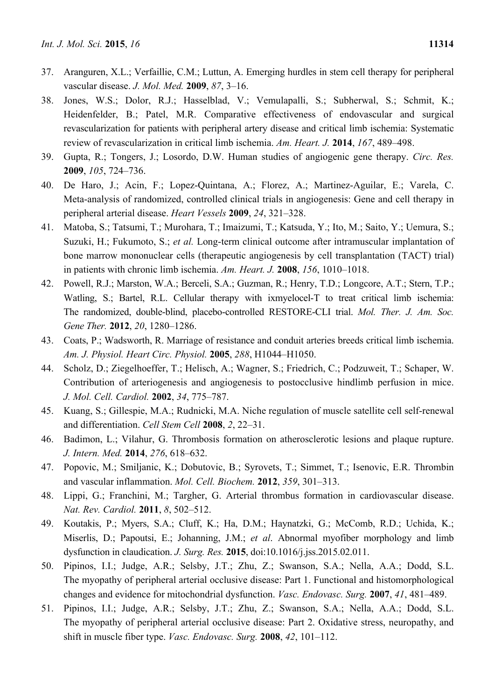- 37. Aranguren, X.L.; Verfaillie, C.M.; Luttun, A. Emerging hurdles in stem cell therapy for peripheral vascular disease. *J. Mol. Med.* **2009**, *87*, 3–16.
- 38. Jones, W.S.; Dolor, R.J.; Hasselblad, V.; Vemulapalli, S.; Subherwal, S.; Schmit, K.; Heidenfelder, B.; Patel, M.R. Comparative effectiveness of endovascular and surgical revascularization for patients with peripheral artery disease and critical limb ischemia: Systematic review of revascularization in critical limb ischemia. *Am. Heart. J.* **2014**, *167*, 489–498.
- 39. Gupta, R.; Tongers, J.; Losordo, D.W. Human studies of angiogenic gene therapy. *Circ. Res.*  **2009**, *105*, 724–736.
- 40. De Haro, J.; Acin, F.; Lopez-Quintana, A.; Florez, A.; Martinez-Aguilar, E.; Varela, C. Meta-analysis of randomized, controlled clinical trials in angiogenesis: Gene and cell therapy in peripheral arterial disease. *Heart Vessels* **2009**, *24*, 321–328.
- 41. Matoba, S.; Tatsumi, T.; Murohara, T.; Imaizumi, T.; Katsuda, Y.; Ito, M.; Saito, Y.; Uemura, S.; Suzuki, H.; Fukumoto, S.; *et al.* Long-term clinical outcome after intramuscular implantation of bone marrow mononuclear cells (therapeutic angiogenesis by cell transplantation (TACT) trial) in patients with chronic limb ischemia. *Am. Heart. J.* **2008**, *156*, 1010–1018.
- 42. Powell, R.J.; Marston, W.A.; Berceli, S.A.; Guzman, R.; Henry, T.D.; Longcore, A.T.; Stern, T.P.; Watling, S.; Bartel, R.L. Cellular therapy with ixmyelocel-T to treat critical limb ischemia: The randomized, double-blind, placebo-controlled RESTORE-CLI trial. *Mol. Ther. J. Am. Soc. Gene Ther.* **2012**, *20*, 1280–1286.
- 43. Coats, P.; Wadsworth, R. Marriage of resistance and conduit arteries breeds critical limb ischemia. *Am. J. Physiol. Heart Circ. Physiol.* **2005**, *288*, H1044–H1050.
- 44. Scholz, D.; Ziegelhoeffer, T.; Helisch, A.; Wagner, S.; Friedrich, C.; Podzuweit, T.; Schaper, W. Contribution of arteriogenesis and angiogenesis to postocclusive hindlimb perfusion in mice. *J. Mol. Cell. Cardiol.* **2002**, *34*, 775–787.
- 45. Kuang, S.; Gillespie, M.A.; Rudnicki, M.A. Niche regulation of muscle satellite cell self-renewal and differentiation. *Cell Stem Cell* **2008**, *2*, 22–31.
- 46. Badimon, L.; Vilahur, G. Thrombosis formation on atherosclerotic lesions and plaque rupture. *J. Intern. Med.* **2014**, *276*, 618–632.
- 47. Popovic, M.; Smiljanic, K.; Dobutovic, B.; Syrovets, T.; Simmet, T.; Isenovic, E.R. Thrombin and vascular inflammation. *Mol. Cell. Biochem.* **2012**, *359*, 301–313.
- 48. Lippi, G.; Franchini, M.; Targher, G. Arterial thrombus formation in cardiovascular disease. *Nat. Rev. Cardiol.* **2011**, *8*, 502–512.
- 49. Koutakis, P.; Myers, S.A.; Cluff, K.; Ha, D.M.; Haynatzki, G.; McComb, R.D.; Uchida, K.; Miserlis, D.; Papoutsi, E.; Johanning, J.M.; *et al*. Abnormal myofiber morphology and limb dysfunction in claudication. *J. Surg. Res.* **2015**, doi:10.1016/j.jss.2015.02.011.
- 50. Pipinos, I.I.; Judge, A.R.; Selsby, J.T.; Zhu, Z.; Swanson, S.A.; Nella, A.A.; Dodd, S.L. The myopathy of peripheral arterial occlusive disease: Part 1. Functional and histomorphological changes and evidence for mitochondrial dysfunction. *Vasc. Endovasc. Surg.* **2007**, *41*, 481–489.
- 51. Pipinos, I.I.; Judge, A.R.; Selsby, J.T.; Zhu, Z.; Swanson, S.A.; Nella, A.A.; Dodd, S.L. The myopathy of peripheral arterial occlusive disease: Part 2. Oxidative stress, neuropathy, and shift in muscle fiber type. *Vasc. Endovasc. Surg.* **2008**, *42*, 101–112.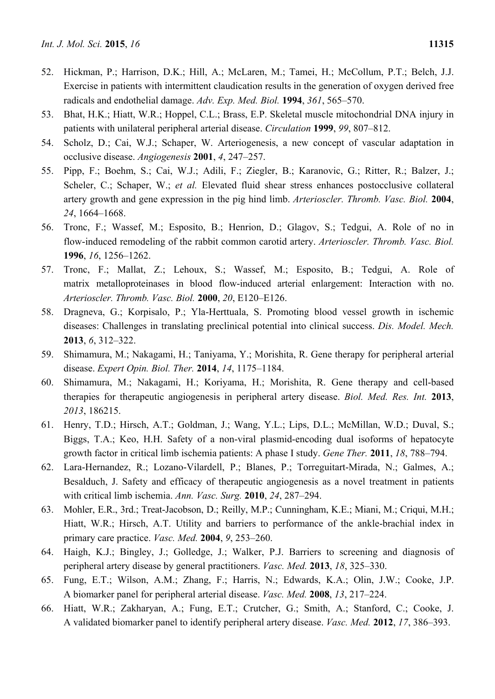- 52. Hickman, P.; Harrison, D.K.; Hill, A.; McLaren, M.; Tamei, H.; McCollum, P.T.; Belch, J.J. Exercise in patients with intermittent claudication results in the generation of oxygen derived free radicals and endothelial damage. *Adv. Exp. Med. Biol.* **1994**, *361*, 565–570.
- 53. Bhat, H.K.; Hiatt, W.R.; Hoppel, C.L.; Brass, E.P. Skeletal muscle mitochondrial DNA injury in patients with unilateral peripheral arterial disease. *Circulation* **1999**, *99*, 807–812.
- 54. Scholz, D.; Cai, W.J.; Schaper, W. Arteriogenesis, a new concept of vascular adaptation in occlusive disease. *Angiogenesis* **2001**, *4*, 247–257.
- 55. Pipp, F.; Boehm, S.; Cai, W.J.; Adili, F.; Ziegler, B.; Karanovic, G.; Ritter, R.; Balzer, J.; Scheler, C.; Schaper, W.; *et al.* Elevated fluid shear stress enhances postocclusive collateral artery growth and gene expression in the pig hind limb. *Arterioscler. Thromb. Vasc. Biol.* **2004**, *24*, 1664–1668.
- 56. Tronc, F.; Wassef, M.; Esposito, B.; Henrion, D.; Glagov, S.; Tedgui, A. Role of no in flow-induced remodeling of the rabbit common carotid artery. *Arterioscler. Thromb. Vasc. Biol.*  **1996**, *16*, 1256–1262.
- 57. Tronc, F.; Mallat, Z.; Lehoux, S.; Wassef, M.; Esposito, B.; Tedgui, A. Role of matrix metalloproteinases in blood flow-induced arterial enlargement: Interaction with no. *Arterioscler. Thromb. Vasc. Biol.* **2000**, *20*, E120–E126.
- 58. Dragneva, G.; Korpisalo, P.; Yla-Herttuala, S. Promoting blood vessel growth in ischemic diseases: Challenges in translating preclinical potential into clinical success. *Dis. Model. Mech.*  **2013**, *6*, 312–322.
- 59. Shimamura, M.; Nakagami, H.; Taniyama, Y.; Morishita, R. Gene therapy for peripheral arterial disease. *Expert Opin. Biol. Ther.* **2014**, *14*, 1175–1184.
- 60. Shimamura, M.; Nakagami, H.; Koriyama, H.; Morishita, R. Gene therapy and cell-based therapies for therapeutic angiogenesis in peripheral artery disease. *Biol. Med. Res. Int.* **2013**, *2013*, 186215.
- 61. Henry, T.D.; Hirsch, A.T.; Goldman, J.; Wang, Y.L.; Lips, D.L.; McMillan, W.D.; Duval, S.; Biggs, T.A.; Keo, H.H. Safety of a non-viral plasmid-encoding dual isoforms of hepatocyte growth factor in critical limb ischemia patients: A phase I study. *Gene Ther.* **2011**, *18*, 788–794.
- 62. Lara-Hernandez, R.; Lozano-Vilardell, P.; Blanes, P.; Torreguitart-Mirada, N.; Galmes, A.; Besalduch, J. Safety and efficacy of therapeutic angiogenesis as a novel treatment in patients with critical limb ischemia. *Ann. Vasc. Surg.* **2010**, *24*, 287–294.
- 63. Mohler, E.R., 3rd.; Treat-Jacobson, D.; Reilly, M.P.; Cunningham, K.E.; Miani, M.; Criqui, M.H.; Hiatt, W.R.; Hirsch, A.T. Utility and barriers to performance of the ankle-brachial index in primary care practice. *Vasc. Med.* **2004**, *9*, 253–260.
- 64. Haigh, K.J.; Bingley, J.; Golledge, J.; Walker, P.J. Barriers to screening and diagnosis of peripheral artery disease by general practitioners. *Vasc. Med.* **2013**, *18*, 325–330.
- 65. Fung, E.T.; Wilson, A.M.; Zhang, F.; Harris, N.; Edwards, K.A.; Olin, J.W.; Cooke, J.P. A biomarker panel for peripheral arterial disease. *Vasc. Med.* **2008**, *13*, 217–224.
- 66. Hiatt, W.R.; Zakharyan, A.; Fung, E.T.; Crutcher, G.; Smith, A.; Stanford, C.; Cooke, J. A validated biomarker panel to identify peripheral artery disease. *Vasc. Med.* **2012**, *17*, 386–393.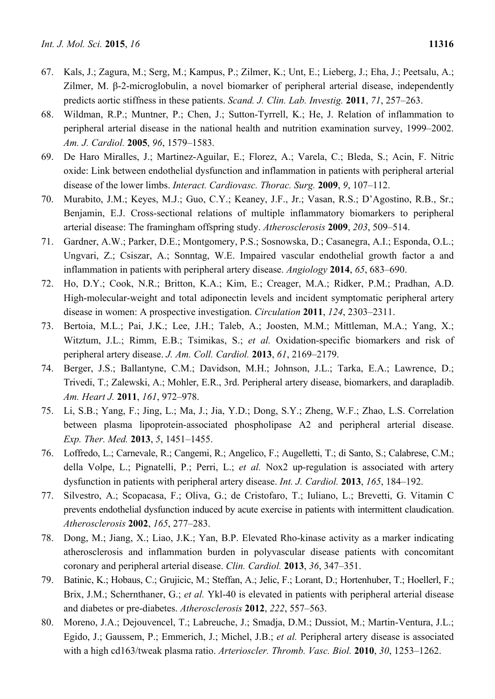- 67. Kals, J.; Zagura, M.; Serg, M.; Kampus, P.; Zilmer, K.; Unt, E.; Lieberg, J.; Eha, J.; Peetsalu, A.; Zilmer, M. β-2-microglobulin, a novel biomarker of peripheral arterial disease, independently predicts aortic stiffness in these patients. *Scand. J. Clin. Lab. Investig.* **2011**, *71*, 257–263.
- 68. Wildman, R.P.; Muntner, P.; Chen, J.; Sutton-Tyrrell, K.; He, J. Relation of inflammation to peripheral arterial disease in the national health and nutrition examination survey, 1999–2002. *Am. J. Cardiol.* **2005**, *96*, 1579–1583.
- 69. De Haro Miralles, J.; Martinez-Aguilar, E.; Florez, A.; Varela, C.; Bleda, S.; Acin, F. Nitric oxide: Link between endothelial dysfunction and inflammation in patients with peripheral arterial disease of the lower limbs. *Interact. Cardiovasc. Thorac. Surg.* **2009**, *9*, 107–112.
- 70. Murabito, J.M.; Keyes, M.J.; Guo, C.Y.; Keaney, J.F., Jr.; Vasan, R.S.; D'Agostino, R.B., Sr.; Benjamin, E.J. Cross-sectional relations of multiple inflammatory biomarkers to peripheral arterial disease: The framingham offspring study. *Atherosclerosis* **2009**, *203*, 509–514.
- 71. Gardner, A.W.; Parker, D.E.; Montgomery, P.S.; Sosnowska, D.; Casanegra, A.I.; Esponda, O.L.; Ungvari, Z.; Csiszar, A.; Sonntag, W.E. Impaired vascular endothelial growth factor a and inflammation in patients with peripheral artery disease. *Angiology* **2014**, *65*, 683–690.
- 72. Ho, D.Y.; Cook, N.R.; Britton, K.A.; Kim, E.; Creager, M.A.; Ridker, P.M.; Pradhan, A.D. High-molecular-weight and total adiponectin levels and incident symptomatic peripheral artery disease in women: A prospective investigation. *Circulation* **2011**, *124*, 2303–2311.
- 73. Bertoia, M.L.; Pai, J.K.; Lee, J.H.; Taleb, A.; Joosten, M.M.; Mittleman, M.A.; Yang, X.; Witztum, J.L.; Rimm, E.B.; Tsimikas, S.; *et al.* Oxidation-specific biomarkers and risk of peripheral artery disease. *J. Am. Coll. Cardiol.* **2013**, *61*, 2169–2179.
- 74. Berger, J.S.; Ballantyne, C.M.; Davidson, M.H.; Johnson, J.L.; Tarka, E.A.; Lawrence, D.; Trivedi, T.; Zalewski, A.; Mohler, E.R., 3rd. Peripheral artery disease, biomarkers, and darapladib. *Am. Heart J.* **2011**, *161*, 972–978.
- 75. Li, S.B.; Yang, F.; Jing, L.; Ma, J.; Jia, Y.D.; Dong, S.Y.; Zheng, W.F.; Zhao, L.S. Correlation between plasma lipoprotein-associated phospholipase A2 and peripheral arterial disease. *Exp. Ther. Med.* **2013**, *5*, 1451–1455.
- 76. Loffredo, L.; Carnevale, R.; Cangemi, R.; Angelico, F.; Augelletti, T.; di Santo, S.; Calabrese, C.M.; della Volpe, L.; Pignatelli, P.; Perri, L.; *et al.* Nox2 up-regulation is associated with artery dysfunction in patients with peripheral artery disease. *Int. J. Cardiol.* **2013**, *165*, 184–192.
- 77. Silvestro, A.; Scopacasa, F.; Oliva, G.; de Cristofaro, T.; Iuliano, L.; Brevetti, G. Vitamin C prevents endothelial dysfunction induced by acute exercise in patients with intermittent claudication. *Atherosclerosis* **2002**, *165*, 277–283.
- 78. Dong, M.; Jiang, X.; Liao, J.K.; Yan, B.P. Elevated Rho-kinase activity as a marker indicating atherosclerosis and inflammation burden in polyvascular disease patients with concomitant coronary and peripheral arterial disease. *Clin. Cardiol.* **2013**, *36*, 347–351.
- 79. Batinic, K.; Hobaus, C.; Grujicic, M.; Steffan, A.; Jelic, F.; Lorant, D.; Hortenhuber, T.; Hoellerl, F.; Brix, J.M.; Schernthaner, G.; *et al.* Ykl-40 is elevated in patients with peripheral arterial disease and diabetes or pre-diabetes. *Atherosclerosis* **2012**, *222*, 557–563.
- 80. Moreno, J.A.; Dejouvencel, T.; Labreuche, J.; Smadja, D.M.; Dussiot, M.; Martin-Ventura, J.L.; Egido, J.; Gaussem, P.; Emmerich, J.; Michel, J.B.; *et al.* Peripheral artery disease is associated with a high cd163/tweak plasma ratio. *Arterioscler. Thromb. Vasc. Biol.* **2010**, *30*, 1253–1262.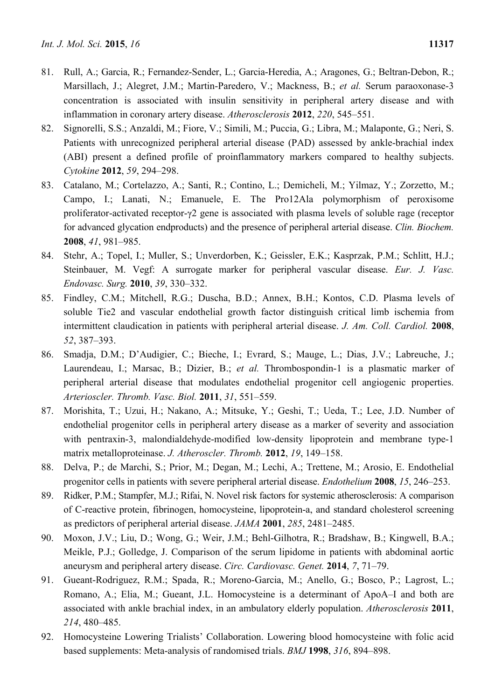- 81. Rull, A.; Garcia, R.; Fernandez-Sender, L.; Garcia-Heredia, A.; Aragones, G.; Beltran-Debon, R.; Marsillach, J.; Alegret, J.M.; Martin-Paredero, V.; Mackness, B.; *et al.* Serum paraoxonase-3 concentration is associated with insulin sensitivity in peripheral artery disease and with inflammation in coronary artery disease. *Atherosclerosis* **2012**, *220*, 545–551.
- 82. Signorelli, S.S.; Anzaldi, M.; Fiore, V.; Simili, M.; Puccia, G.; Libra, M.; Malaponte, G.; Neri, S. Patients with unrecognized peripheral arterial disease (PAD) assessed by ankle-brachial index (ABI) present a defined profile of proinflammatory markers compared to healthy subjects. *Cytokine* **2012**, *59*, 294–298.
- 83. Catalano, M.; Cortelazzo, A.; Santi, R.; Contino, L.; Demicheli, M.; Yilmaz, Y.; Zorzetto, M.; Campo, I.; Lanati, N.; Emanuele, E. The Pro12Ala polymorphism of peroxisome proliferator-activated receptor-γ2 gene is associated with plasma levels of soluble rage (receptor for advanced glycation endproducts) and the presence of peripheral arterial disease. *Clin. Biochem.*  **2008**, *41*, 981–985.
- 84. Stehr, A.; Topel, I.; Muller, S.; Unverdorben, K.; Geissler, E.K.; Kasprzak, P.M.; Schlitt, H.J.; Steinbauer, M. Vegf: A surrogate marker for peripheral vascular disease. *Eur. J. Vasc. Endovasc. Surg.* **2010**, *39*, 330–332.
- 85. Findley, C.M.; Mitchell, R.G.; Duscha, B.D.; Annex, B.H.; Kontos, C.D. Plasma levels of soluble Tie2 and vascular endothelial growth factor distinguish critical limb ischemia from intermittent claudication in patients with peripheral arterial disease. *J. Am. Coll. Cardiol.* **2008**, *52*, 387–393.
- 86. Smadja, D.M.; D'Audigier, C.; Bieche, I.; Evrard, S.; Mauge, L.; Dias, J.V.; Labreuche, J.; Laurendeau, I.; Marsac, B.; Dizier, B.; *et al.* Thrombospondin-1 is a plasmatic marker of peripheral arterial disease that modulates endothelial progenitor cell angiogenic properties. *Arterioscler. Thromb. Vasc. Biol.* **2011**, *31*, 551–559.
- 87. Morishita, T.; Uzui, H.; Nakano, A.; Mitsuke, Y.; Geshi, T.; Ueda, T.; Lee, J.D. Number of endothelial progenitor cells in peripheral artery disease as a marker of severity and association with pentraxin-3, malondialdehyde-modified low-density lipoprotein and membrane type-1 matrix metalloproteinase. *J. Atheroscler. Thromb.* **2012**, *19*, 149–158.
- 88. Delva, P.; de Marchi, S.; Prior, M.; Degan, M.; Lechi, A.; Trettene, M.; Arosio, E. Endothelial progenitor cells in patients with severe peripheral arterial disease. *Endothelium* **2008**, *15*, 246–253.
- 89. Ridker, P.M.; Stampfer, M.J.; Rifai, N. Novel risk factors for systemic atherosclerosis: A comparison of C-reactive protein, fibrinogen, homocysteine, lipoprotein-a, and standard cholesterol screening as predictors of peripheral arterial disease. *JAMA* **2001**, *285*, 2481–2485.
- 90. Moxon, J.V.; Liu, D.; Wong, G.; Weir, J.M.; Behl-Gilhotra, R.; Bradshaw, B.; Kingwell, B.A.; Meikle, P.J.; Golledge, J. Comparison of the serum lipidome in patients with abdominal aortic aneurysm and peripheral artery disease. *Circ. Cardiovasc. Genet.* **2014**, *7*, 71–79.
- 91. Gueant-Rodriguez, R.M.; Spada, R.; Moreno-Garcia, M.; Anello, G.; Bosco, P.; Lagrost, L.; Romano, A.; Elia, M.; Gueant, J.L. Homocysteine is a determinant of ApoA–I and both are associated with ankle brachial index, in an ambulatory elderly population. *Atherosclerosis* **2011**, *214*, 480–485.
- 92. Homocysteine Lowering Trialists' Collaboration. Lowering blood homocysteine with folic acid based supplements: Meta-analysis of randomised trials. *BMJ* **1998**, *316*, 894–898.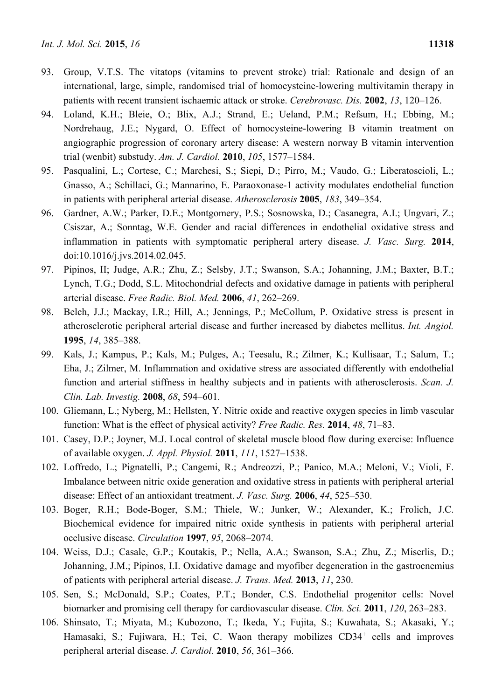- 93. Group, V.T.S. The vitatops (vitamins to prevent stroke) trial: Rationale and design of an international, large, simple, randomised trial of homocysteine-lowering multivitamin therapy in patients with recent transient ischaemic attack or stroke. *Cerebrovasc. Dis.* **2002**, *13*, 120–126.
- 94. Loland, K.H.; Bleie, O.; Blix, A.J.; Strand, E.; Ueland, P.M.; Refsum, H.; Ebbing, M.; Nordrehaug, J.E.; Nygard, O. Effect of homocysteine-lowering B vitamin treatment on angiographic progression of coronary artery disease: A western norway B vitamin intervention trial (wenbit) substudy. *Am. J. Cardiol.* **2010**, *105*, 1577–1584.
- 95. Pasqualini, L.; Cortese, C.; Marchesi, S.; Siepi, D.; Pirro, M.; Vaudo, G.; Liberatoscioli, L.; Gnasso, A.; Schillaci, G.; Mannarino, E. Paraoxonase-1 activity modulates endothelial function in patients with peripheral arterial disease. *Atherosclerosis* **2005**, *183*, 349–354.
- 96. Gardner, A.W.; Parker, D.E.; Montgomery, P.S.; Sosnowska, D.; Casanegra, A.I.; Ungvari, Z.; Csiszar, A.; Sonntag, W.E. Gender and racial differences in endothelial oxidative stress and inflammation in patients with symptomatic peripheral artery disease. *J. Vasc. Surg.* **2014**, doi:10.1016/j.jvs.2014.02.045.
- 97. Pipinos, II; Judge, A.R.; Zhu, Z.; Selsby, J.T.; Swanson, S.A.; Johanning, J.M.; Baxter, B.T.; Lynch, T.G.; Dodd, S.L. Mitochondrial defects and oxidative damage in patients with peripheral arterial disease. *Free Radic. Biol. Med.* **2006**, *41*, 262–269.
- 98. Belch, J.J.; Mackay, I.R.; Hill, A.; Jennings, P.; McCollum, P. Oxidative stress is present in atherosclerotic peripheral arterial disease and further increased by diabetes mellitus. *Int. Angiol.*  **1995**, *14*, 385–388.
- 99. Kals, J.; Kampus, P.; Kals, M.; Pulges, A.; Teesalu, R.; Zilmer, K.; Kullisaar, T.; Salum, T.; Eha, J.; Zilmer, M. Inflammation and oxidative stress are associated differently with endothelial function and arterial stiffness in healthy subjects and in patients with atherosclerosis. *Scan. J. Clin. Lab. Investig.* **2008**, *68*, 594–601.
- 100. Gliemann, L.; Nyberg, M.; Hellsten, Y. Nitric oxide and reactive oxygen species in limb vascular function: What is the effect of physical activity? *Free Radic. Res.* **2014**, *48*, 71–83.
- 101. Casey, D.P.; Joyner, M.J. Local control of skeletal muscle blood flow during exercise: Influence of available oxygen. *J. Appl. Physiol.* **2011**, *111*, 1527–1538.
- 102. Loffredo, L.; Pignatelli, P.; Cangemi, R.; Andreozzi, P.; Panico, M.A.; Meloni, V.; Violi, F. Imbalance between nitric oxide generation and oxidative stress in patients with peripheral arterial disease: Effect of an antioxidant treatment. *J. Vasc. Surg.* **2006**, *44*, 525–530.
- 103. Boger, R.H.; Bode-Boger, S.M.; Thiele, W.; Junker, W.; Alexander, K.; Frolich, J.C. Biochemical evidence for impaired nitric oxide synthesis in patients with peripheral arterial occlusive disease. *Circulation* **1997**, *95*, 2068–2074.
- 104. Weiss, D.J.; Casale, G.P.; Koutakis, P.; Nella, A.A.; Swanson, S.A.; Zhu, Z.; Miserlis, D.; Johanning, J.M.; Pipinos, I.I. Oxidative damage and myofiber degeneration in the gastrocnemius of patients with peripheral arterial disease. *J. Trans. Med.* **2013**, *11*, 230.
- 105. Sen, S.; McDonald, S.P.; Coates, P.T.; Bonder, C.S. Endothelial progenitor cells: Novel biomarker and promising cell therapy for cardiovascular disease. *Clin. Sci.* **2011**, *120*, 263–283.
- 106. Shinsato, T.; Miyata, M.; Kubozono, T.; Ikeda, Y.; Fujita, S.; Kuwahata, S.; Akasaki, Y.; Hamasaki, S.; Fujiwara, H.; Tei, C. Waon therapy mobilizes CD34<sup>+</sup> cells and improves peripheral arterial disease. *J. Cardiol.* **2010**, *56*, 361–366.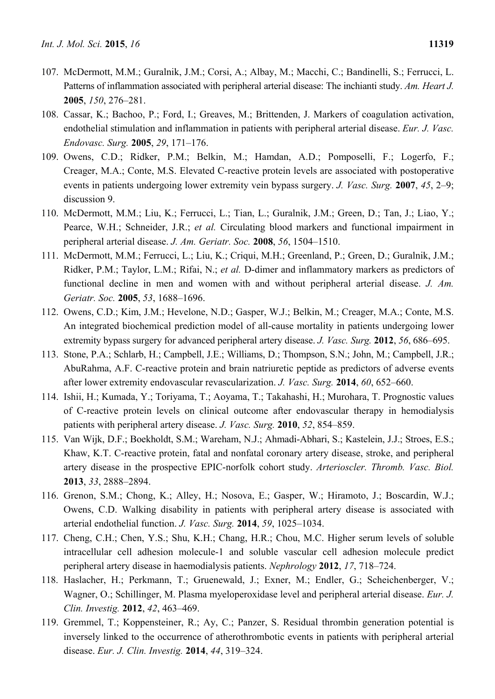- 
- 107. McDermott, M.M.; Guralnik, J.M.; Corsi, A.; Albay, M.; Macchi, C.; Bandinelli, S.; Ferrucci, L. Patterns of inflammation associated with peripheral arterial disease: The inchianti study. *Am. Heart J.*  **2005**, *150*, 276–281.
- 108. Cassar, K.; Bachoo, P.; Ford, I.; Greaves, M.; Brittenden, J. Markers of coagulation activation, endothelial stimulation and inflammation in patients with peripheral arterial disease. *Eur. J. Vasc. Endovasc. Surg.* **2005**, *29*, 171–176.
- 109. Owens, C.D.; Ridker, P.M.; Belkin, M.; Hamdan, A.D.; Pomposelli, F.; Logerfo, F.; Creager, M.A.; Conte, M.S. Elevated C-reactive protein levels are associated with postoperative events in patients undergoing lower extremity vein bypass surgery. *J. Vasc. Surg.* **2007**, *45*, 2–9; discussion 9.
- 110. McDermott, M.M.; Liu, K.; Ferrucci, L.; Tian, L.; Guralnik, J.M.; Green, D.; Tan, J.; Liao, Y.; Pearce, W.H.; Schneider, J.R.; *et al.* Circulating blood markers and functional impairment in peripheral arterial disease. *J. Am. Geriatr. Soc.* **2008**, *56*, 1504–1510.
- 111. McDermott, M.M.; Ferrucci, L.; Liu, K.; Criqui, M.H.; Greenland, P.; Green, D.; Guralnik, J.M.; Ridker, P.M.; Taylor, L.M.; Rifai, N.; *et al.* D-dimer and inflammatory markers as predictors of functional decline in men and women with and without peripheral arterial disease. *J. Am. Geriatr. Soc.* **2005**, *53*, 1688–1696.
- 112. Owens, C.D.; Kim, J.M.; Hevelone, N.D.; Gasper, W.J.; Belkin, M.; Creager, M.A.; Conte, M.S. An integrated biochemical prediction model of all-cause mortality in patients undergoing lower extremity bypass surgery for advanced peripheral artery disease. *J. Vasc. Surg.* **2012**, *56*, 686–695.
- 113. Stone, P.A.; Schlarb, H.; Campbell, J.E.; Williams, D.; Thompson, S.N.; John, M.; Campbell, J.R.; AbuRahma, A.F. C-reactive protein and brain natriuretic peptide as predictors of adverse events after lower extremity endovascular revascularization. *J. Vasc. Surg.* **2014**, *60*, 652–660.
- 114. Ishii, H.; Kumada, Y.; Toriyama, T.; Aoyama, T.; Takahashi, H.; Murohara, T. Prognostic values of C-reactive protein levels on clinical outcome after endovascular therapy in hemodialysis patients with peripheral artery disease. *J. Vasc. Surg.* **2010**, *52*, 854–859.
- 115. Van Wijk, D.F.; Boekholdt, S.M.; Wareham, N.J.; Ahmadi-Abhari, S.; Kastelein, J.J.; Stroes, E.S.; Khaw, K.T. C-reactive protein, fatal and nonfatal coronary artery disease, stroke, and peripheral artery disease in the prospective EPIC-norfolk cohort study. *Arterioscler. Thromb. Vasc. Biol.*  **2013**, *33*, 2888–2894.
- 116. Grenon, S.M.; Chong, K.; Alley, H.; Nosova, E.; Gasper, W.; Hiramoto, J.; Boscardin, W.J.; Owens, C.D. Walking disability in patients with peripheral artery disease is associated with arterial endothelial function. *J. Vasc. Surg.* **2014**, *59*, 1025–1034.
- 117. Cheng, C.H.; Chen, Y.S.; Shu, K.H.; Chang, H.R.; Chou, M.C. Higher serum levels of soluble intracellular cell adhesion molecule-1 and soluble vascular cell adhesion molecule predict peripheral artery disease in haemodialysis patients. *Nephrology* **2012**, *17*, 718–724.
- 118. Haslacher, H.; Perkmann, T.; Gruenewald, J.; Exner, M.; Endler, G.; Scheichenberger, V.; Wagner, O.; Schillinger, M. Plasma myeloperoxidase level and peripheral arterial disease. *Eur. J. Clin. Investig.* **2012**, *42*, 463–469.
- 119. Gremmel, T.; Koppensteiner, R.; Ay, C.; Panzer, S. Residual thrombin generation potential is inversely linked to the occurrence of atherothrombotic events in patients with peripheral arterial disease. *Eur. J. Clin. Investig.* **2014**, *44*, 319–324.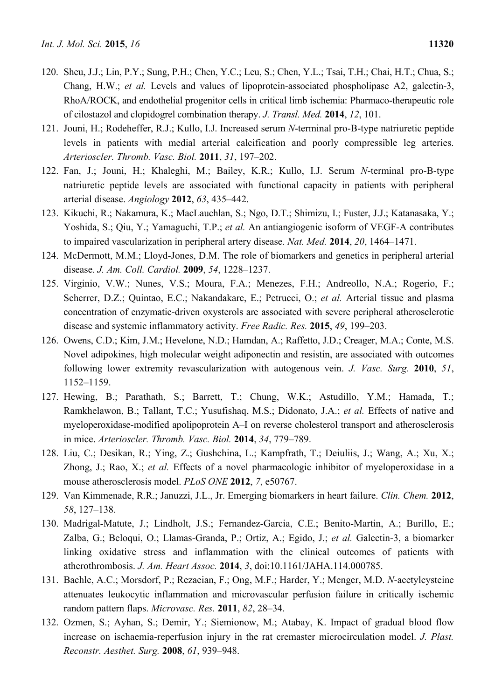- 120. Sheu, J.J.; Lin, P.Y.; Sung, P.H.; Chen, Y.C.; Leu, S.; Chen, Y.L.; Tsai, T.H.; Chai, H.T.; Chua, S.; Chang, H.W.; *et al.* Levels and values of lipoprotein-associated phospholipase A2, galectin-3, RhoA/ROCK, and endothelial progenitor cells in critical limb ischemia: Pharmaco-therapeutic role of cilostazol and clopidogrel combination therapy. *J. Transl. Med.* **2014**, *12*, 101.
- 121. Jouni, H.; Rodeheffer, R.J.; Kullo, I.J. Increased serum *N*-terminal pro-B-type natriuretic peptide levels in patients with medial arterial calcification and poorly compressible leg arteries. *Arterioscler. Thromb. Vasc. Biol.* **2011**, *31*, 197–202.
- 122. Fan, J.; Jouni, H.; Khaleghi, M.; Bailey, K.R.; Kullo, I.J. Serum *N*-terminal pro-B-type natriuretic peptide levels are associated with functional capacity in patients with peripheral arterial disease. *Angiology* **2012**, *63*, 435–442.
- 123. Kikuchi, R.; Nakamura, K.; MacLauchlan, S.; Ngo, D.T.; Shimizu, I.; Fuster, J.J.; Katanasaka, Y.; Yoshida, S.; Qiu, Y.; Yamaguchi, T.P.; *et al.* An antiangiogenic isoform of VEGF-A contributes to impaired vascularization in peripheral artery disease. *Nat. Med.* **2014**, *20*, 1464–1471.
- 124. McDermott, M.M.; Lloyd-Jones, D.M. The role of biomarkers and genetics in peripheral arterial disease. *J. Am. Coll. Cardiol.* **2009**, *54*, 1228–1237.
- 125. Virginio, V.W.; Nunes, V.S.; Moura, F.A.; Menezes, F.H.; Andreollo, N.A.; Rogerio, F.; Scherrer, D.Z.; Quintao, E.C.; Nakandakare, E.; Petrucci, O.; *et al.* Arterial tissue and plasma concentration of enzymatic-driven oxysterols are associated with severe peripheral atherosclerotic disease and systemic inflammatory activity. *Free Radic. Res.* **2015**, *49*, 199–203.
- 126. Owens, C.D.; Kim, J.M.; Hevelone, N.D.; Hamdan, A.; Raffetto, J.D.; Creager, M.A.; Conte, M.S. Novel adipokines, high molecular weight adiponectin and resistin, are associated with outcomes following lower extremity revascularization with autogenous vein. *J. Vasc. Surg.* **2010**, *51*, 1152–1159.
- 127. Hewing, B.; Parathath, S.; Barrett, T.; Chung, W.K.; Astudillo, Y.M.; Hamada, T.; Ramkhelawon, B.; Tallant, T.C.; Yusufishaq, M.S.; Didonato, J.A.; *et al.* Effects of native and myeloperoxidase-modified apolipoprotein A–I on reverse cholesterol transport and atherosclerosis in mice. *Arterioscler. Thromb. Vasc. Biol.* **2014**, *34*, 779–789.
- 128. Liu, C.; Desikan, R.; Ying, Z.; Gushchina, L.; Kampfrath, T.; Deiuliis, J.; Wang, A.; Xu, X.; Zhong, J.; Rao, X.; *et al.* Effects of a novel pharmacologic inhibitor of myeloperoxidase in a mouse atherosclerosis model. *PLoS ONE* **2012**, *7*, e50767.
- 129. Van Kimmenade, R.R.; Januzzi, J.L., Jr. Emerging biomarkers in heart failure. *Clin. Chem.* **2012**, *58*, 127–138.
- 130. Madrigal-Matute, J.; Lindholt, J.S.; Fernandez-Garcia, C.E.; Benito-Martin, A.; Burillo, E.; Zalba, G.; Beloqui, O.; Llamas-Granda, P.; Ortiz, A.; Egido, J.; *et al.* Galectin-3, a biomarker linking oxidative stress and inflammation with the clinical outcomes of patients with atherothrombosis. *J. Am. Heart Assoc.* **2014**, *3*, doi:10.1161/JAHA.114.000785.
- 131. Bachle, A.C.; Morsdorf, P.; Rezaeian, F.; Ong, M.F.; Harder, Y.; Menger, M.D. *N*-acetylcysteine attenuates leukocytic inflammation and microvascular perfusion failure in critically ischemic random pattern flaps. *Microvasc. Res.* **2011**, *82*, 28–34.
- 132. Ozmen, S.; Ayhan, S.; Demir, Y.; Siemionow, M.; Atabay, K. Impact of gradual blood flow increase on ischaemia-reperfusion injury in the rat cremaster microcirculation model. *J. Plast. Reconstr. Aesthet. Surg.* **2008**, *61*, 939–948.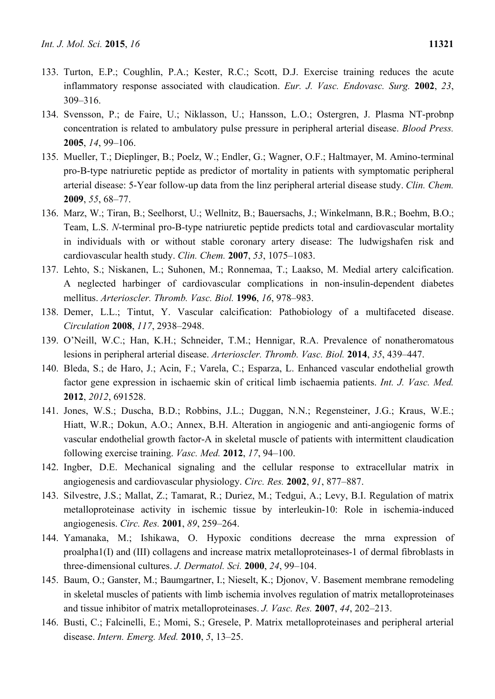- 133. Turton, E.P.; Coughlin, P.A.; Kester, R.C.; Scott, D.J. Exercise training reduces the acute inflammatory response associated with claudication. *Eur. J. Vasc. Endovasc. Surg.* **2002**, *23*, 309–316.
- 134. Svensson, P.; de Faire, U.; Niklasson, U.; Hansson, L.O.; Ostergren, J. Plasma NT-probnp concentration is related to ambulatory pulse pressure in peripheral arterial disease. *Blood Press.*  **2005**, *14*, 99–106.
- 135. Mueller, T.; Dieplinger, B.; Poelz, W.; Endler, G.; Wagner, O.F.; Haltmayer, M. Amino-terminal pro-B-type natriuretic peptide as predictor of mortality in patients with symptomatic peripheral arterial disease: 5-Year follow-up data from the linz peripheral arterial disease study. *Clin. Chem.*  **2009**, *55*, 68–77.
- 136. Marz, W.; Tiran, B.; Seelhorst, U.; Wellnitz, B.; Bauersachs, J.; Winkelmann, B.R.; Boehm, B.O.; Team, L.S. *N*-terminal pro-B-type natriuretic peptide predicts total and cardiovascular mortality in individuals with or without stable coronary artery disease: The ludwigshafen risk and cardiovascular health study. *Clin. Chem.* **2007**, *53*, 1075–1083.
- 137. Lehto, S.; Niskanen, L.; Suhonen, M.; Ronnemaa, T.; Laakso, M. Medial artery calcification. A neglected harbinger of cardiovascular complications in non-insulin-dependent diabetes mellitus. *Arterioscler. Thromb. Vasc. Biol.* **1996**, *16*, 978–983.
- 138. Demer, L.L.; Tintut, Y. Vascular calcification: Pathobiology of a multifaceted disease. *Circulation* **2008**, *117*, 2938–2948.
- 139. O'Neill, W.C.; Han, K.H.; Schneider, T.M.; Hennigar, R.A. Prevalence of nonatheromatous lesions in peripheral arterial disease. *Arterioscler. Thromb. Vasc. Biol.* **2014**, *35*, 439–447.
- 140. Bleda, S.; de Haro, J.; Acin, F.; Varela, C.; Esparza, L. Enhanced vascular endothelial growth factor gene expression in ischaemic skin of critical limb ischaemia patients. *Int. J. Vasc. Med.*  **2012**, *2012*, 691528.
- 141. Jones, W.S.; Duscha, B.D.; Robbins, J.L.; Duggan, N.N.; Regensteiner, J.G.; Kraus, W.E.; Hiatt, W.R.; Dokun, A.O.; Annex, B.H. Alteration in angiogenic and anti-angiogenic forms of vascular endothelial growth factor-A in skeletal muscle of patients with intermittent claudication following exercise training. *Vasc. Med.* **2012**, *17*, 94–100.
- 142. Ingber, D.E. Mechanical signaling and the cellular response to extracellular matrix in angiogenesis and cardiovascular physiology. *Circ. Res.* **2002**, *91*, 877–887.
- 143. Silvestre, J.S.; Mallat, Z.; Tamarat, R.; Duriez, M.; Tedgui, A.; Levy, B.I. Regulation of matrix metalloproteinase activity in ischemic tissue by interleukin-10: Role in ischemia-induced angiogenesis. *Circ. Res.* **2001**, *89*, 259–264.
- 144. Yamanaka, M.; Ishikawa, O. Hypoxic conditions decrease the mrna expression of proalpha1(I) and (III) collagens and increase matrix metalloproteinases-1 of dermal fibroblasts in three-dimensional cultures. *J. Dermatol. Sci.* **2000**, *24*, 99–104.
- 145. Baum, O.; Ganster, M.; Baumgartner, I.; Nieselt, K.; Djonov, V. Basement membrane remodeling in skeletal muscles of patients with limb ischemia involves regulation of matrix metalloproteinases and tissue inhibitor of matrix metalloproteinases. *J. Vasc. Res.* **2007**, *44*, 202–213.
- 146. Busti, C.; Falcinelli, E.; Momi, S.; Gresele, P. Matrix metalloproteinases and peripheral arterial disease. *Intern. Emerg. Med.* **2010**, *5*, 13–25.